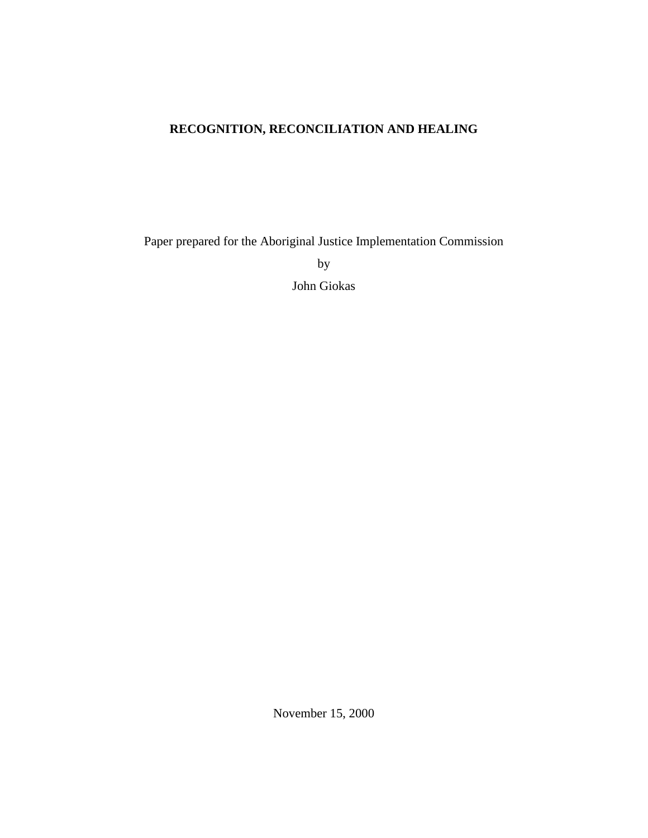# **RECOGNITION, RECONCILIATION AND HEALING**

Paper prepared for the Aboriginal Justice Implementation Commission

by

John Giokas

November 15, 2000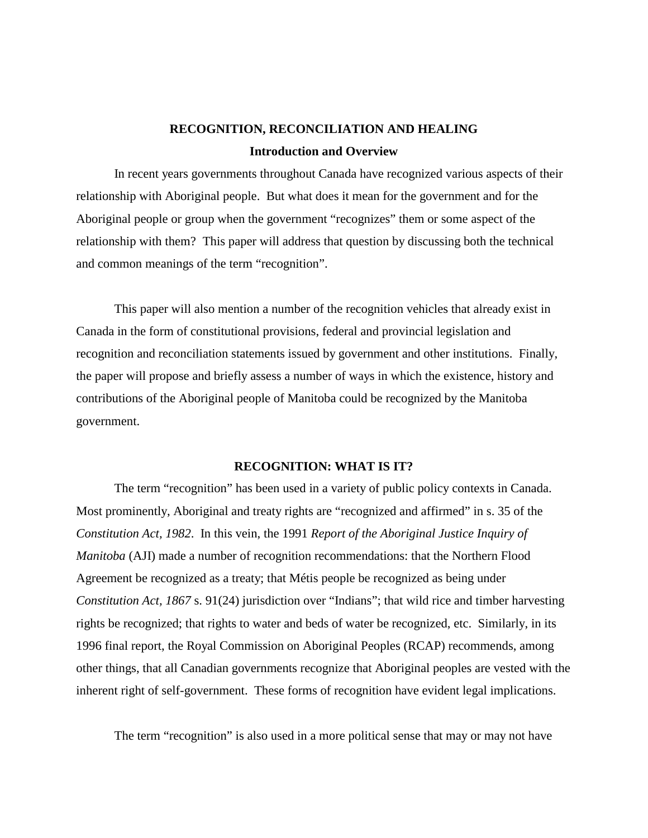# **RECOGNITION, RECONCILIATION AND HEALING Introduction and Overview**

In recent years governments throughout Canada have recognized various aspects of their relationship with Aboriginal people. But what does it mean for the government and for the Aboriginal people or group when the government "recognizes" them or some aspect of the relationship with them? This paper will address that question by discussing both the technical and common meanings of the term "recognition".

This paper will also mention a number of the recognition vehicles that already exist in Canada in the form of constitutional provisions, federal and provincial legislation and recognition and reconciliation statements issued by government and other institutions. Finally, the paper will propose and briefly assess a number of ways in which the existence, history and contributions of the Aboriginal people of Manitoba could be recognized by the Manitoba government.

### **RECOGNITION: WHAT IS IT?**

The term "recognition" has been used in a variety of public policy contexts in Canada. Most prominently, Aboriginal and treaty rights are "recognized and affirmed" in s. 35 of the *Constitution Act, 1982*. In this vein, the 1991 *Report of the Aboriginal Justice Inquiry of Manitoba* (AJI) made a number of recognition recommendations: that the Northern Flood Agreement be recognized as a treaty; that Métis people be recognized as being under *Constitution Act, 1867* s. 91(24) jurisdiction over "Indians"; that wild rice and timber harvesting rights be recognized; that rights to water and beds of water be recognized, etc. Similarly, in its 1996 final report, the Royal Commission on Aboriginal Peoples (RCAP) recommends, among other things, that all Canadian governments recognize that Aboriginal peoples are vested with the inherent right of self-government. These forms of recognition have evident legal implications.

The term "recognition" is also used in a more political sense that may or may not have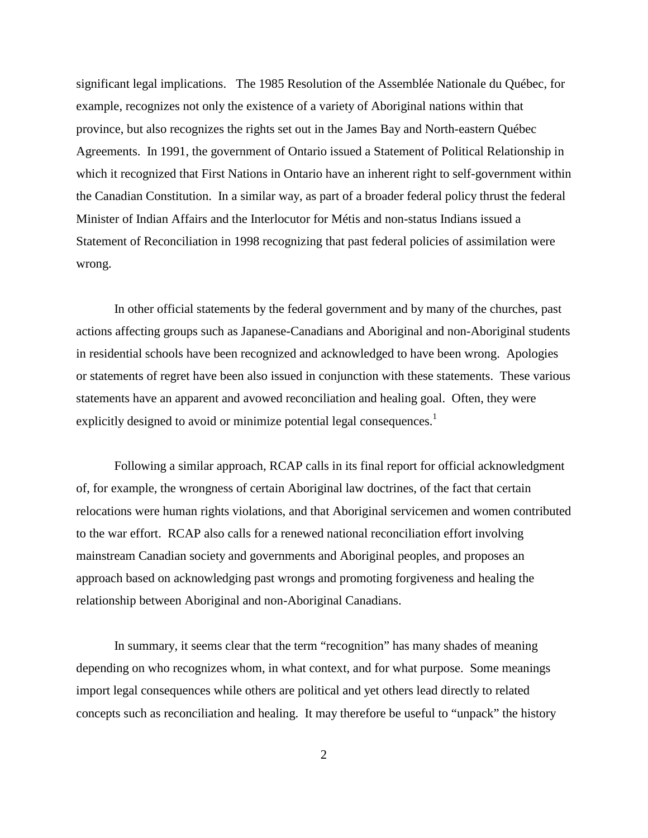significant legal implications. The 1985 Resolution of the Assemblée Nationale du Québec, for example, recognizes not only the existence of a variety of Aboriginal nations within that province, but also recognizes the rights set out in the James Bay and North-eastern Québec Agreements. In 1991, the government of Ontario issued a Statement of Political Relationship in which it recognized that First Nations in Ontario have an inherent right to self-government within the Canadian Constitution. In a similar way, as part of a broader federal policy thrust the federal Minister of Indian Affairs and the Interlocutor for Métis and non-status Indians issued a Statement of Reconciliation in 1998 recognizing that past federal policies of assimilation were wrong.

In other official statements by the federal government and by many of the churches, past actions affecting groups such as Japanese-Canadians and Aboriginal and non-Aboriginal students in residential schools have been recognized and acknowledged to have been wrong. Apologies or statements of regret have been also issued in conjunction with these statements. These various statements have an apparent and avowed reconciliation and healing goal. Often, they were explicitly designed to avoid or minimize potential legal consequences.<sup>1</sup>

Following a similar approach, RCAP calls in its final report for official acknowledgment of, for example, the wrongness of certain Aboriginal law doctrines, of the fact that certain relocations were human rights violations, and that Aboriginal servicemen and women contributed to the war effort. RCAP also calls for a renewed national reconciliation effort involving mainstream Canadian society and governments and Aboriginal peoples, and proposes an approach based on acknowledging past wrongs and promoting forgiveness and healing the relationship between Aboriginal and non-Aboriginal Canadians.

In summary, it seems clear that the term "recognition" has many shades of meaning depending on who recognizes whom, in what context, and for what purpose. Some meanings import legal consequences while others are political and yet others lead directly to related concepts such as reconciliation and healing. It may therefore be useful to "unpack" the history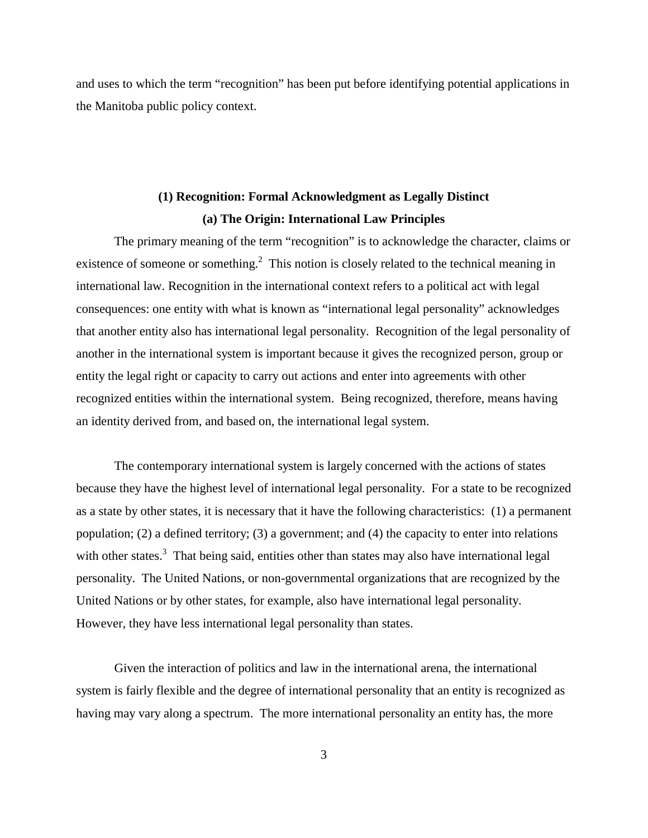and uses to which the term "recognition" has been put before identifying potential applications in the Manitoba public policy context.

# **(1) Recognition: Formal Acknowledgment as Legally Distinct (a) The Origin: International Law Principles**

The primary meaning of the term "recognition" is to acknowledge the character, claims or existence of someone or something.<sup>2</sup> This notion is closely related to the technical meaning in international law. Recognition in the international context refers to a political act with legal consequences: one entity with what is known as "international legal personality" acknowledges that another entity also has international legal personality. Recognition of the legal personality of another in the international system is important because it gives the recognized person, group or entity the legal right or capacity to carry out actions and enter into agreements with other recognized entities within the international system. Being recognized, therefore, means having an identity derived from, and based on, the international legal system.

The contemporary international system is largely concerned with the actions of states because they have the highest level of international legal personality. For a state to be recognized as a state by other states, it is necessary that it have the following characteristics: (1) a permanent population; (2) a defined territory; (3) a government; and (4) the capacity to enter into relations with other states.<sup>3</sup> That being said, entities other than states may also have international legal personality. The United Nations, or non-governmental organizations that are recognized by the United Nations or by other states, for example, also have international legal personality. However, they have less international legal personality than states.

Given the interaction of politics and law in the international arena, the international system is fairly flexible and the degree of international personality that an entity is recognized as having may vary along a spectrum. The more international personality an entity has, the more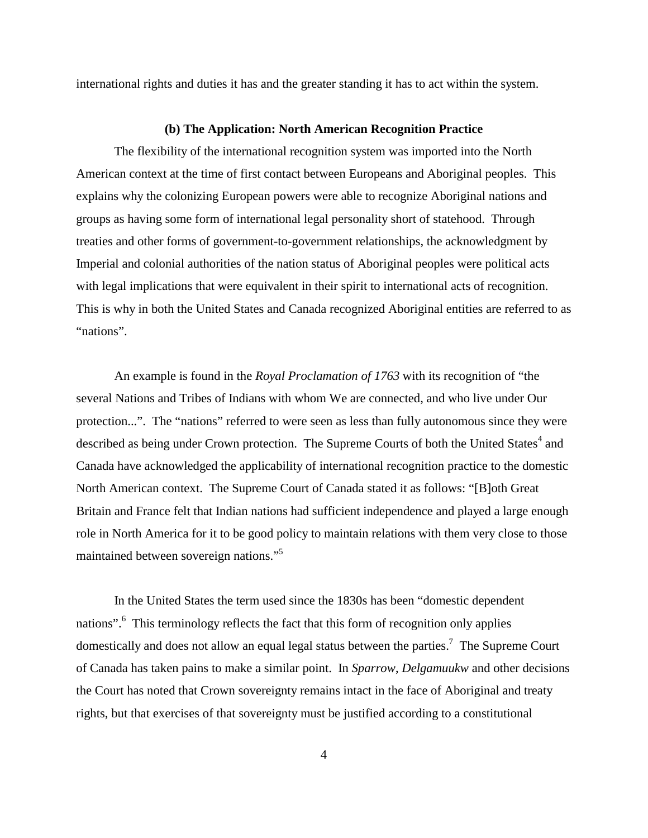international rights and duties it has and the greater standing it has to act within the system.

#### **(b) The Application: North American Recognition Practice**

The flexibility of the international recognition system was imported into the North American context at the time of first contact between Europeans and Aboriginal peoples. This explains why the colonizing European powers were able to recognize Aboriginal nations and groups as having some form of international legal personality short of statehood. Through treaties and other forms of government-to-government relationships, the acknowledgment by Imperial and colonial authorities of the nation status of Aboriginal peoples were political acts with legal implications that were equivalent in their spirit to international acts of recognition. This is why in both the United States and Canada recognized Aboriginal entities are referred to as "nations".

An example is found in the *Royal Proclamation of 1763* with its recognition of "the several Nations and Tribes of Indians with whom We are connected, and who live under Our protection...". The "nations" referred to were seen as less than fully autonomous since they were described as being under Crown protection. The Supreme Courts of both the United States<sup>4</sup> and Canada have acknowledged the applicability of international recognition practice to the domestic North American context. The Supreme Court of Canada stated it as follows: "[B]oth Great Britain and France felt that Indian nations had sufficient independence and played a large enough role in North America for it to be good policy to maintain relations with them very close to those maintained between sovereign nations."5

In the United States the term used since the 1830s has been "domestic dependent nations".<sup>6</sup> This terminology reflects the fact that this form of recognition only applies domestically and does not allow an equal legal status between the parties.<sup>7</sup> The Supreme Court of Canada has taken pains to make a similar point. In *Sparrow*, *Delgamuukw* and other decisions the Court has noted that Crown sovereignty remains intact in the face of Aboriginal and treaty rights, but that exercises of that sovereignty must be justified according to a constitutional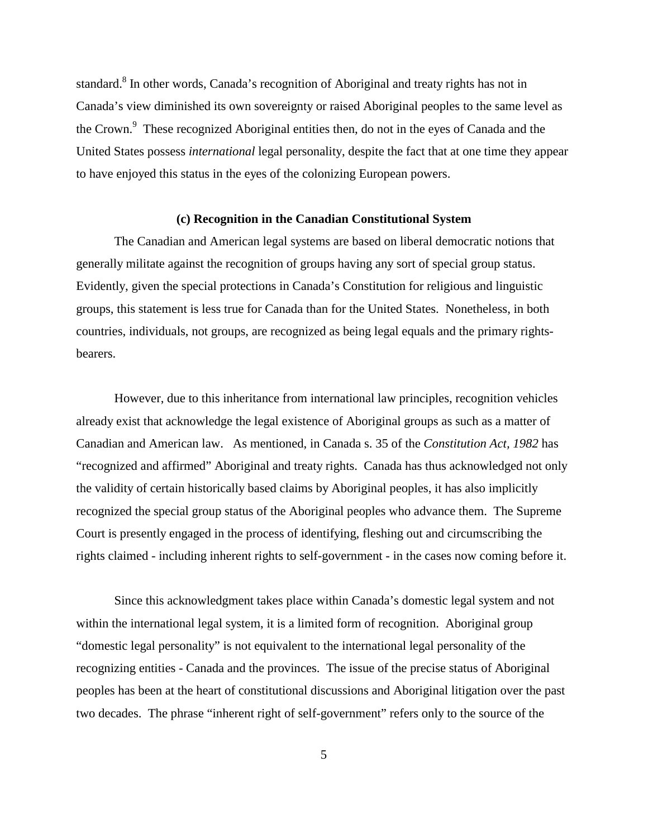standard.<sup>8</sup> In other words, Canada's recognition of Aboriginal and treaty rights has not in Canada's view diminished its own sovereignty or raised Aboriginal peoples to the same level as the Crown.<sup>9</sup> These recognized Aboriginal entities then, do not in the eyes of Canada and the United States possess *international* legal personality, despite the fact that at one time they appear to have enjoyed this status in the eyes of the colonizing European powers.

#### **(c) Recognition in the Canadian Constitutional System**

The Canadian and American legal systems are based on liberal democratic notions that generally militate against the recognition of groups having any sort of special group status. Evidently, given the special protections in Canada's Constitution for religious and linguistic groups, this statement is less true for Canada than for the United States. Nonetheless, in both countries, individuals, not groups, are recognized as being legal equals and the primary rightsbearers.

However, due to this inheritance from international law principles, recognition vehicles already exist that acknowledge the legal existence of Aboriginal groups as such as a matter of Canadian and American law. As mentioned, in Canada s. 35 of the *Constitution Act, 1982* has "recognized and affirmed" Aboriginal and treaty rights. Canada has thus acknowledged not only the validity of certain historically based claims by Aboriginal peoples, it has also implicitly recognized the special group status of the Aboriginal peoples who advance them. The Supreme Court is presently engaged in the process of identifying, fleshing out and circumscribing the rights claimed - including inherent rights to self-government - in the cases now coming before it.

Since this acknowledgment takes place within Canada's domestic legal system and not within the international legal system, it is a limited form of recognition. Aboriginal group "domestic legal personality" is not equivalent to the international legal personality of the recognizing entities - Canada and the provinces. The issue of the precise status of Aboriginal peoples has been at the heart of constitutional discussions and Aboriginal litigation over the past two decades. The phrase "inherent right of self-government" refers only to the source of the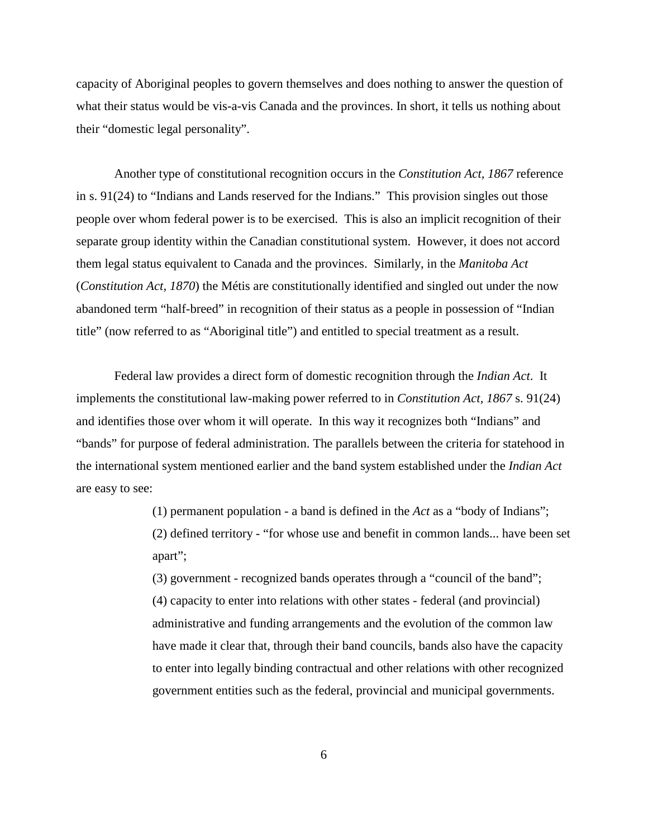capacity of Aboriginal peoples to govern themselves and does nothing to answer the question of what their status would be vis-a-vis Canada and the provinces. In short, it tells us nothing about their "domestic legal personality".

Another type of constitutional recognition occurs in the *Constitution Act, 1867* reference in s. 91(24) to "Indians and Lands reserved for the Indians." This provision singles out those people over whom federal power is to be exercised. This is also an implicit recognition of their separate group identity within the Canadian constitutional system. However, it does not accord them legal status equivalent to Canada and the provinces. Similarly, in the *Manitoba Act* (*Constitution Act, 1870*) the Métis are constitutionally identified and singled out under the now abandoned term "half-breed" in recognition of their status as a people in possession of "Indian title" (now referred to as "Aboriginal title") and entitled to special treatment as a result.

Federal law provides a direct form of domestic recognition through the *Indian Act*. It implements the constitutional law-making power referred to in *Constitution Act, 1867* s. 91(24) and identifies those over whom it will operate. In this way it recognizes both "Indians" and "bands" for purpose of federal administration. The parallels between the criteria for statehood in the international system mentioned earlier and the band system established under the *Indian Act* are easy to see:

> (1) permanent population - a band is defined in the *Act* as a "body of Indians"; (2) defined territory - "for whose use and benefit in common lands... have been set apart";

(3) government - recognized bands operates through a "council of the band"; (4) capacity to enter into relations with other states - federal (and provincial) administrative and funding arrangements and the evolution of the common law have made it clear that, through their band councils, bands also have the capacity to enter into legally binding contractual and other relations with other recognized government entities such as the federal, provincial and municipal governments.

6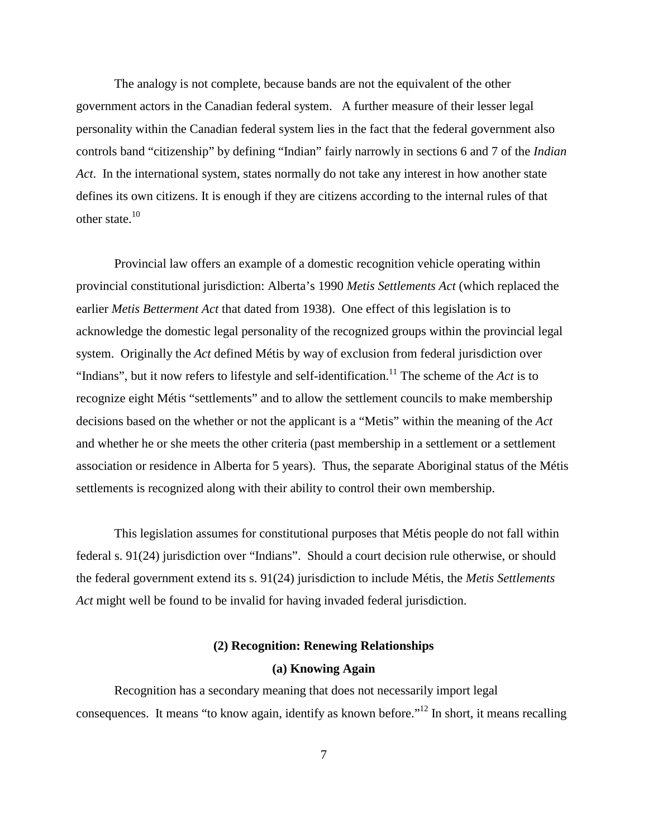The analogy is not complete, because bands are not the equivalent of the other government actors in the Canadian federal system. A further measure of their lesser legal personality within the Canadian federal system lies in the fact that the federal government also controls band "citizenship" by defining "Indian" fairly narrowly in sections 6 and 7 of the *Indian Act*. In the international system, states normally do not take any interest in how another state defines its own citizens. It is enough if they are citizens according to the internal rules of that other state.<sup>10</sup>

Provincial law offers an example of a domestic recognition vehicle operating within provincial constitutional jurisdiction: Alberta's 1990 *Metis Settlements Act* (which replaced the earlier *Metis Betterment Act* that dated from 1938). One effect of this legislation is to acknowledge the domestic legal personality of the recognized groups within the provincial legal system. Originally the *Act* defined Métis by way of exclusion from federal jurisdiction over "Indians", but it now refers to lifestyle and self-identification.<sup>11</sup> The scheme of the *Act* is to recognize eight Métis "settlements" and to allow the settlement councils to make membership decisions based on the whether or not the applicant is a "Metis" within the meaning of the *Act* and whether he or she meets the other criteria (past membership in a settlement or a settlement association or residence in Alberta for 5 years). Thus, the separate Aboriginal status of the Métis settlements is recognized along with their ability to control their own membership.

This legislation assumes for constitutional purposes that Métis people do not fall within federal s. 91(24) jurisdiction over "Indians". Should a court decision rule otherwise, or should the federal government extend its s. 91(24) jurisdiction to include Métis, the *Metis Settlements Act* might well be found to be invalid for having invaded federal jurisdiction.

# **(2) Recognition: Renewing Relationships (a) Knowing Again**

Recognition has a secondary meaning that does not necessarily import legal consequences. It means "to know again, identify as known before."12 In short, it means recalling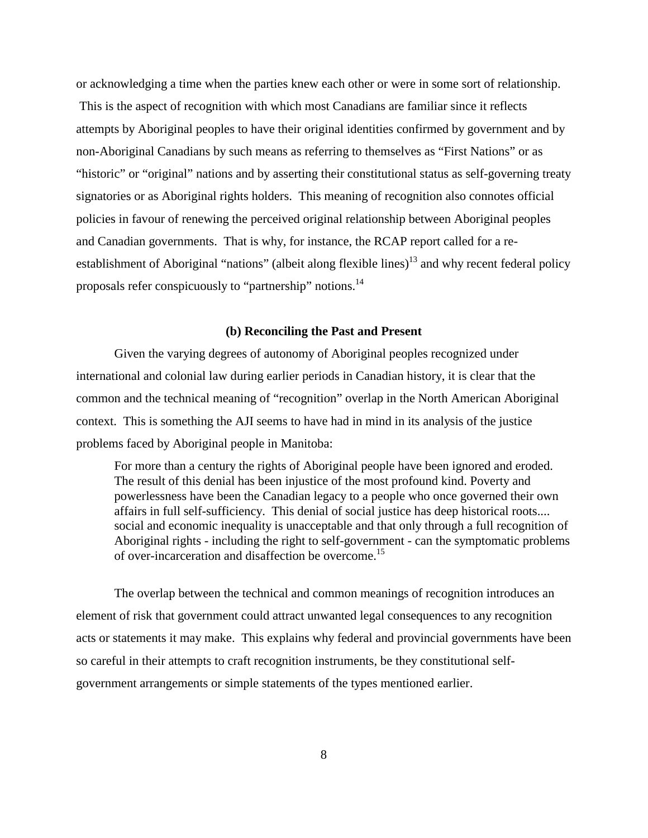or acknowledging a time when the parties knew each other or were in some sort of relationship. This is the aspect of recognition with which most Canadians are familiar since it reflects attempts by Aboriginal peoples to have their original identities confirmed by government and by non-Aboriginal Canadians by such means as referring to themselves as "First Nations" or as "historic" or "original" nations and by asserting their constitutional status as self-governing treaty signatories or as Aboriginal rights holders. This meaning of recognition also connotes official policies in favour of renewing the perceived original relationship between Aboriginal peoples and Canadian governments. That is why, for instance, the RCAP report called for a reestablishment of Aboriginal "nations" (albeit along flexible lines)<sup>13</sup> and why recent federal policy proposals refer conspicuously to "partnership" notions.14

### **(b) Reconciling the Past and Present**

Given the varying degrees of autonomy of Aboriginal peoples recognized under international and colonial law during earlier periods in Canadian history, it is clear that the common and the technical meaning of "recognition" overlap in the North American Aboriginal context. This is something the AJI seems to have had in mind in its analysis of the justice problems faced by Aboriginal people in Manitoba:

For more than a century the rights of Aboriginal people have been ignored and eroded. The result of this denial has been injustice of the most profound kind. Poverty and powerlessness have been the Canadian legacy to a people who once governed their own affairs in full self-sufficiency. This denial of social justice has deep historical roots.... social and economic inequality is unacceptable and that only through a full recognition of Aboriginal rights - including the right to self-government - can the symptomatic problems of over-incarceration and disaffection be overcome.<sup>15</sup>

The overlap between the technical and common meanings of recognition introduces an element of risk that government could attract unwanted legal consequences to any recognition acts or statements it may make. This explains why federal and provincial governments have been so careful in their attempts to craft recognition instruments, be they constitutional selfgovernment arrangements or simple statements of the types mentioned earlier.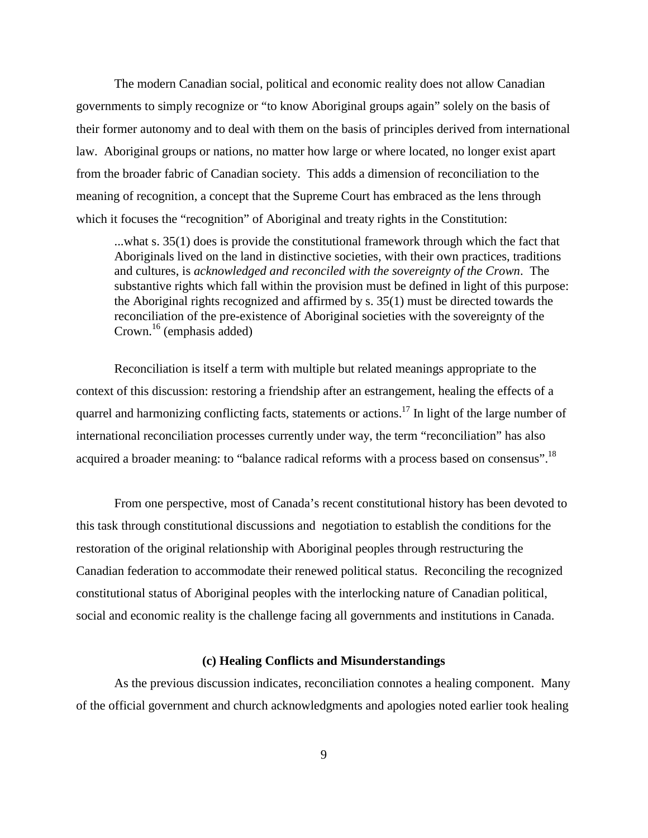The modern Canadian social, political and economic reality does not allow Canadian governments to simply recognize or "to know Aboriginal groups again" solely on the basis of their former autonomy and to deal with them on the basis of principles derived from international law. Aboriginal groups or nations, no matter how large or where located, no longer exist apart from the broader fabric of Canadian society. This adds a dimension of reconciliation to the meaning of recognition, a concept that the Supreme Court has embraced as the lens through which it focuses the "recognition" of Aboriginal and treaty rights in the Constitution:

...what s. 35(1) does is provide the constitutional framework through which the fact that Aboriginals lived on the land in distinctive societies, with their own practices, traditions and cultures, is *acknowledged and reconciled with the sovereignty of the Crown*. The substantive rights which fall within the provision must be defined in light of this purpose: the Aboriginal rights recognized and affirmed by s. 35(1) must be directed towards the reconciliation of the pre-existence of Aboriginal societies with the sovereignty of the Crown.<sup>16</sup> (emphasis added)

Reconciliation is itself a term with multiple but related meanings appropriate to the context of this discussion: restoring a friendship after an estrangement, healing the effects of a quarrel and harmonizing conflicting facts, statements or actions.<sup>17</sup> In light of the large number of international reconciliation processes currently under way, the term "reconciliation" has also acquired a broader meaning: to "balance radical reforms with a process based on consensus".<sup>18</sup>

From one perspective, most of Canada's recent constitutional history has been devoted to this task through constitutional discussions and negotiation to establish the conditions for the restoration of the original relationship with Aboriginal peoples through restructuring the Canadian federation to accommodate their renewed political status. Reconciling the recognized constitutional status of Aboriginal peoples with the interlocking nature of Canadian political, social and economic reality is the challenge facing all governments and institutions in Canada.

## **(c) Healing Conflicts and Misunderstandings**

As the previous discussion indicates, reconciliation connotes a healing component. Many of the official government and church acknowledgments and apologies noted earlier took healing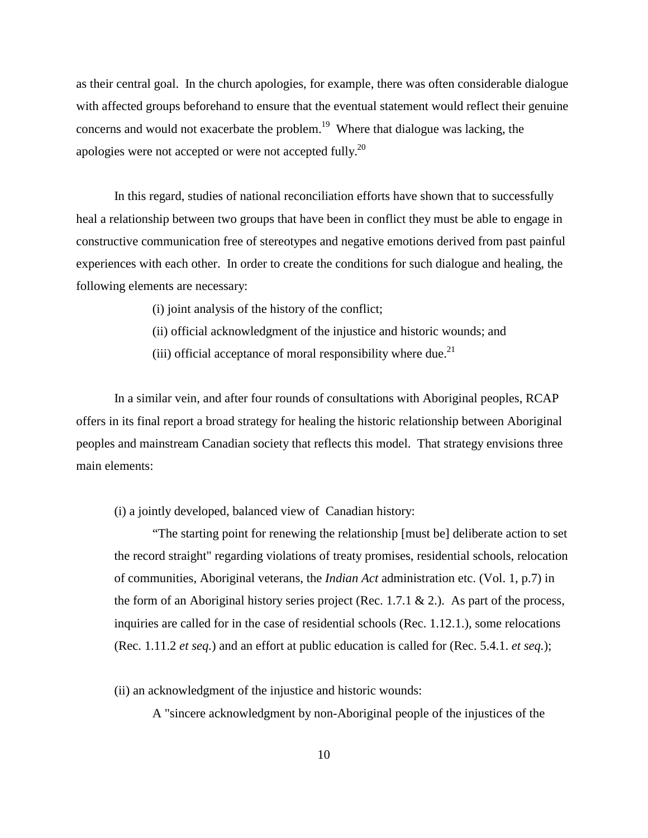as their central goal. In the church apologies, for example, there was often considerable dialogue with affected groups beforehand to ensure that the eventual statement would reflect their genuine concerns and would not exacerbate the problem.<sup>19</sup> Where that dialogue was lacking, the apologies were not accepted or were not accepted fully.<sup>20</sup>

In this regard, studies of national reconciliation efforts have shown that to successfully heal a relationship between two groups that have been in conflict they must be able to engage in constructive communication free of stereotypes and negative emotions derived from past painful experiences with each other. In order to create the conditions for such dialogue and healing, the following elements are necessary:

(i) joint analysis of the history of the conflict;

- (ii) official acknowledgment of the injustice and historic wounds; and
- (iii) official acceptance of moral responsibility where due.<sup>21</sup>

In a similar vein, and after four rounds of consultations with Aboriginal peoples, RCAP offers in its final report a broad strategy for healing the historic relationship between Aboriginal peoples and mainstream Canadian society that reflects this model. That strategy envisions three main elements:

(i) a jointly developed, balanced view of Canadian history:

"The starting point for renewing the relationship [must be] deliberate action to set the record straight" regarding violations of treaty promises, residential schools, relocation of communities, Aboriginal veterans, the *Indian Act* administration etc. (Vol. 1, p.7) in the form of an Aboriginal history series project (Rec. 1.7.1  $\&$  2.). As part of the process, inquiries are called for in the case of residential schools (Rec. 1.12.1.), some relocations (Rec. 1.11.2 *et seq.*) and an effort at public education is called for (Rec. 5.4.1. *et seq.*);

(ii) an acknowledgment of the injustice and historic wounds:

A "sincere acknowledgment by non-Aboriginal people of the injustices of the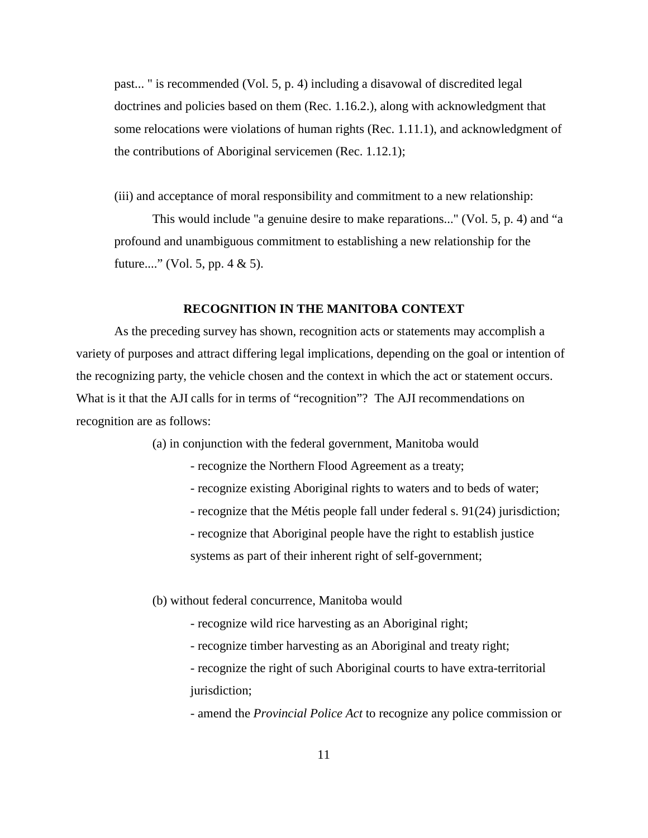past... " is recommended (Vol. 5, p. 4) including a disavowal of discredited legal doctrines and policies based on them (Rec. 1.16.2.), along with acknowledgment that some relocations were violations of human rights (Rec. 1.11.1), and acknowledgment of the contributions of Aboriginal servicemen (Rec. 1.12.1);

(iii) and acceptance of moral responsibility and commitment to a new relationship:

This would include "a genuine desire to make reparations..." (Vol. 5, p. 4) and "a profound and unambiguous commitment to establishing a new relationship for the future...." (Vol. 5, pp.  $4 \& 5$ ).

# **RECOGNITION IN THE MANITOBA CONTEXT**

As the preceding survey has shown, recognition acts or statements may accomplish a variety of purposes and attract differing legal implications, depending on the goal or intention of the recognizing party, the vehicle chosen and the context in which the act or statement occurs. What is it that the AJI calls for in terms of "recognition"? The AJI recommendations on recognition are as follows:

(a) in conjunction with the federal government, Manitoba would

- recognize the Northern Flood Agreement as a treaty;
- recognize existing Aboriginal rights to waters and to beds of water;
- recognize that the Métis people fall under federal s. 91(24) jurisdiction;
- recognize that Aboriginal people have the right to establish justice

systems as part of their inherent right of self-government;

(b) without federal concurrence, Manitoba would

- recognize wild rice harvesting as an Aboriginal right;
- recognize timber harvesting as an Aboriginal and treaty right;
- recognize the right of such Aboriginal courts to have extra-territorial jurisdiction;

- amend the *Provincial Police Act* to recognize any police commission or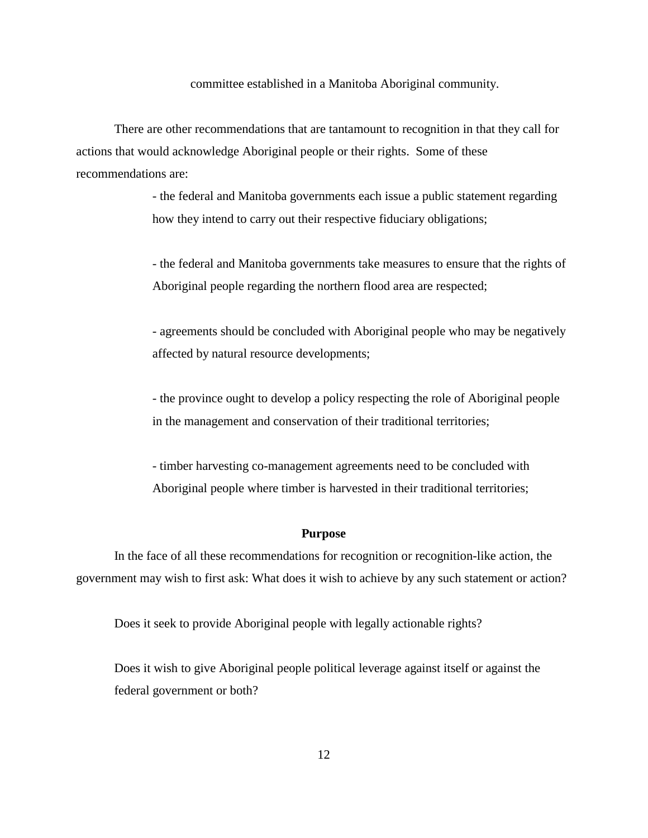committee established in a Manitoba Aboriginal community.

There are other recommendations that are tantamount to recognition in that they call for actions that would acknowledge Aboriginal people or their rights. Some of these recommendations are:

> - the federal and Manitoba governments each issue a public statement regarding how they intend to carry out their respective fiduciary obligations;

- the federal and Manitoba governments take measures to ensure that the rights of Aboriginal people regarding the northern flood area are respected;

- agreements should be concluded with Aboriginal people who may be negatively affected by natural resource developments;

- the province ought to develop a policy respecting the role of Aboriginal people in the management and conservation of their traditional territories;

- timber harvesting co-management agreements need to be concluded with Aboriginal people where timber is harvested in their traditional territories;

#### **Purpose**

In the face of all these recommendations for recognition or recognition-like action, the government may wish to first ask: What does it wish to achieve by any such statement or action?

Does it seek to provide Aboriginal people with legally actionable rights?

Does it wish to give Aboriginal people political leverage against itself or against the federal government or both?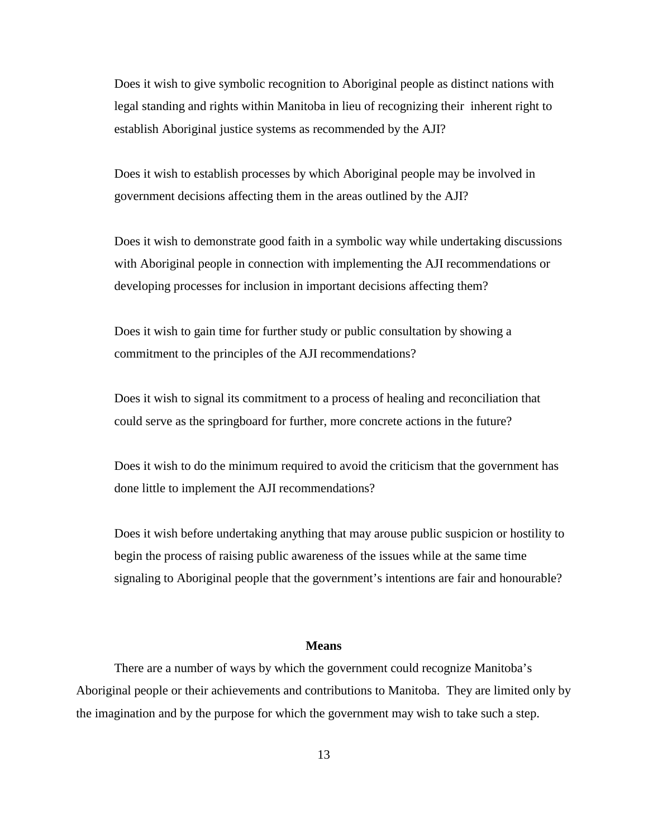Does it wish to give symbolic recognition to Aboriginal people as distinct nations with legal standing and rights within Manitoba in lieu of recognizing their inherent right to establish Aboriginal justice systems as recommended by the AJI?

Does it wish to establish processes by which Aboriginal people may be involved in government decisions affecting them in the areas outlined by the AJI?

Does it wish to demonstrate good faith in a symbolic way while undertaking discussions with Aboriginal people in connection with implementing the AJI recommendations or developing processes for inclusion in important decisions affecting them?

 Does it wish to gain time for further study or public consultation by showing a commitment to the principles of the AJI recommendations?

Does it wish to signal its commitment to a process of healing and reconciliation that could serve as the springboard for further, more concrete actions in the future?

Does it wish to do the minimum required to avoid the criticism that the government has done little to implement the AJI recommendations?

Does it wish before undertaking anything that may arouse public suspicion or hostility to begin the process of raising public awareness of the issues while at the same time signaling to Aboriginal people that the government's intentions are fair and honourable?

## **Means**

There are a number of ways by which the government could recognize Manitoba's Aboriginal people or their achievements and contributions to Manitoba. They are limited only by the imagination and by the purpose for which the government may wish to take such a step.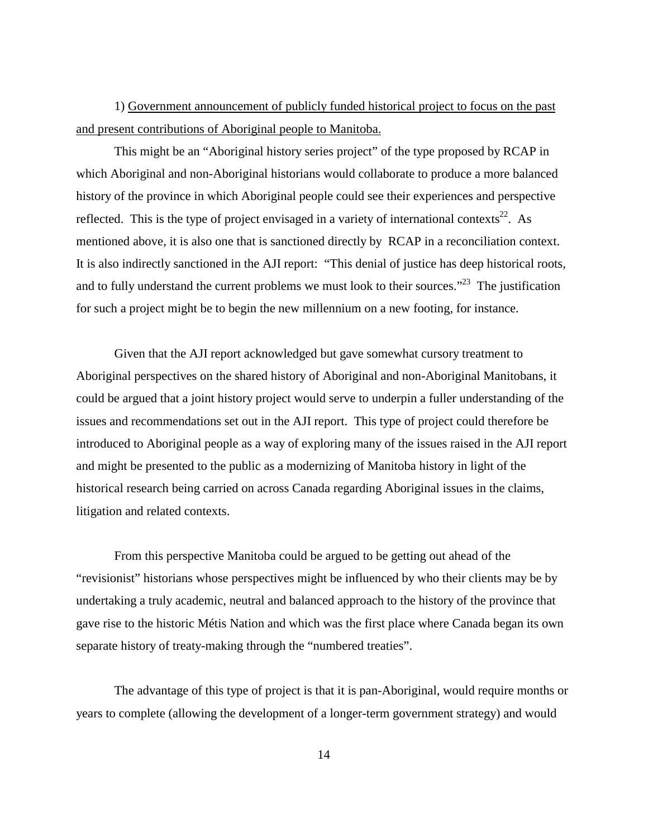1) Government announcement of publicly funded historical project to focus on the past and present contributions of Aboriginal people to Manitoba.

This might be an "Aboriginal history series project" of the type proposed by RCAP in which Aboriginal and non-Aboriginal historians would collaborate to produce a more balanced history of the province in which Aboriginal people could see their experiences and perspective reflected. This is the type of project envisaged in a variety of international contexts<sup>22</sup>. As mentioned above, it is also one that is sanctioned directly by RCAP in a reconciliation context. It is also indirectly sanctioned in the AJI report: "This denial of justice has deep historical roots, and to fully understand the current problems we must look to their sources."<sup>23</sup> The justification for such a project might be to begin the new millennium on a new footing, for instance.

Given that the AJI report acknowledged but gave somewhat cursory treatment to Aboriginal perspectives on the shared history of Aboriginal and non-Aboriginal Manitobans, it could be argued that a joint history project would serve to underpin a fuller understanding of the issues and recommendations set out in the AJI report. This type of project could therefore be introduced to Aboriginal people as a way of exploring many of the issues raised in the AJI report and might be presented to the public as a modernizing of Manitoba history in light of the historical research being carried on across Canada regarding Aboriginal issues in the claims, litigation and related contexts.

From this perspective Manitoba could be argued to be getting out ahead of the "revisionist" historians whose perspectives might be influenced by who their clients may be by undertaking a truly academic, neutral and balanced approach to the history of the province that gave rise to the historic Métis Nation and which was the first place where Canada began its own separate history of treaty-making through the "numbered treaties".

The advantage of this type of project is that it is pan-Aboriginal, would require months or years to complete (allowing the development of a longer-term government strategy) and would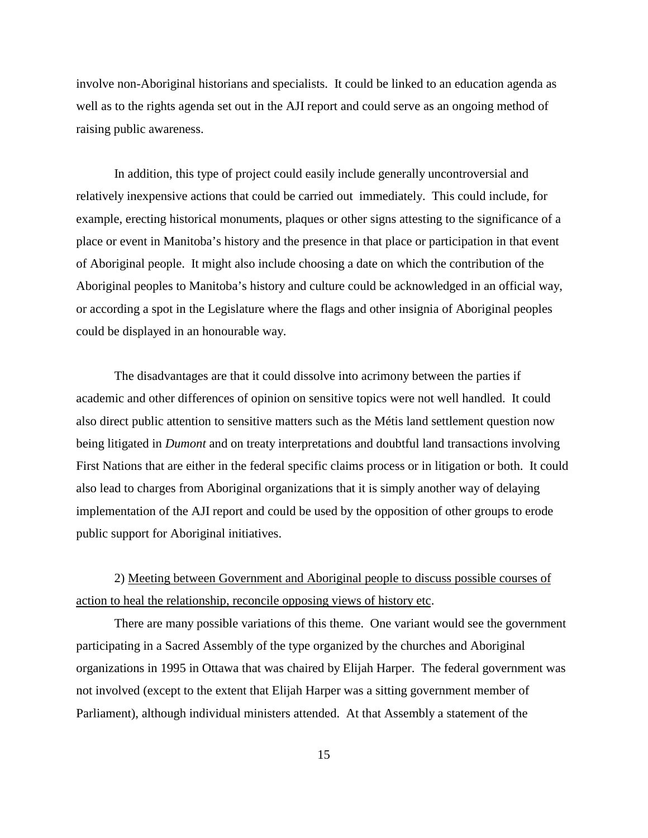involve non-Aboriginal historians and specialists. It could be linked to an education agenda as well as to the rights agenda set out in the AJI report and could serve as an ongoing method of raising public awareness.

In addition, this type of project could easily include generally uncontroversial and relatively inexpensive actions that could be carried out immediately. This could include, for example, erecting historical monuments, plaques or other signs attesting to the significance of a place or event in Manitoba's history and the presence in that place or participation in that event of Aboriginal people. It might also include choosing a date on which the contribution of the Aboriginal peoples to Manitoba's history and culture could be acknowledged in an official way, or according a spot in the Legislature where the flags and other insignia of Aboriginal peoples could be displayed in an honourable way.

The disadvantages are that it could dissolve into acrimony between the parties if academic and other differences of opinion on sensitive topics were not well handled. It could also direct public attention to sensitive matters such as the Métis land settlement question now being litigated in *Dumont* and on treaty interpretations and doubtful land transactions involving First Nations that are either in the federal specific claims process or in litigation or both. It could also lead to charges from Aboriginal organizations that it is simply another way of delaying implementation of the AJI report and could be used by the opposition of other groups to erode public support for Aboriginal initiatives.

2) Meeting between Government and Aboriginal people to discuss possible courses of action to heal the relationship, reconcile opposing views of history etc.

There are many possible variations of this theme. One variant would see the government participating in a Sacred Assembly of the type organized by the churches and Aboriginal organizations in 1995 in Ottawa that was chaired by Elijah Harper. The federal government was not involved (except to the extent that Elijah Harper was a sitting government member of Parliament), although individual ministers attended. At that Assembly a statement of the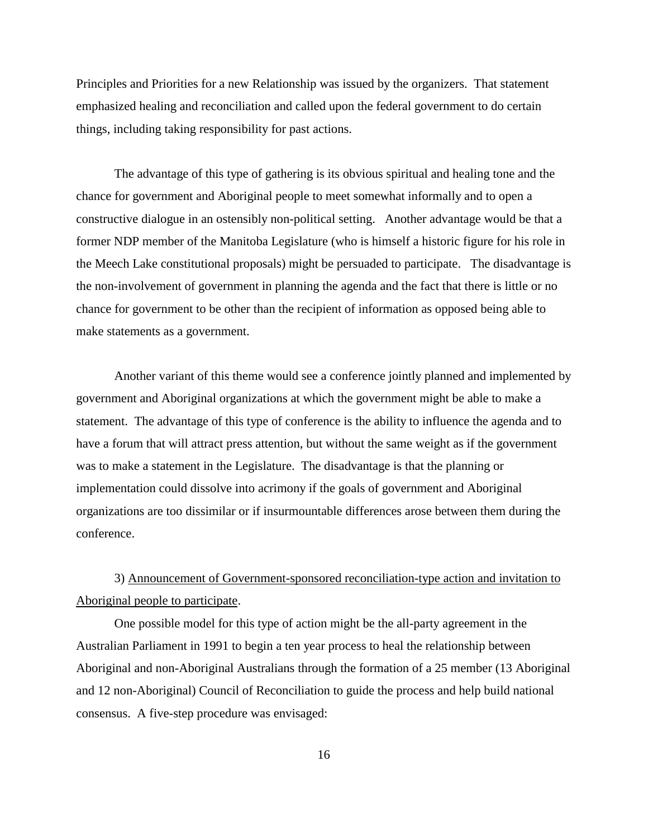Principles and Priorities for a new Relationship was issued by the organizers. That statement emphasized healing and reconciliation and called upon the federal government to do certain things, including taking responsibility for past actions.

The advantage of this type of gathering is its obvious spiritual and healing tone and the chance for government and Aboriginal people to meet somewhat informally and to open a constructive dialogue in an ostensibly non-political setting. Another advantage would be that a former NDP member of the Manitoba Legislature (who is himself a historic figure for his role in the Meech Lake constitutional proposals) might be persuaded to participate. The disadvantage is the non-involvement of government in planning the agenda and the fact that there is little or no chance for government to be other than the recipient of information as opposed being able to make statements as a government.

Another variant of this theme would see a conference jointly planned and implemented by government and Aboriginal organizations at which the government might be able to make a statement. The advantage of this type of conference is the ability to influence the agenda and to have a forum that will attract press attention, but without the same weight as if the government was to make a statement in the Legislature. The disadvantage is that the planning or implementation could dissolve into acrimony if the goals of government and Aboriginal organizations are too dissimilar or if insurmountable differences arose between them during the conference.

# 3) Announcement of Government-sponsored reconciliation-type action and invitation to Aboriginal people to participate.

One possible model for this type of action might be the all-party agreement in the Australian Parliament in 1991 to begin a ten year process to heal the relationship between Aboriginal and non-Aboriginal Australians through the formation of a 25 member (13 Aboriginal and 12 non-Aboriginal) Council of Reconciliation to guide the process and help build national consensus. A five-step procedure was envisaged: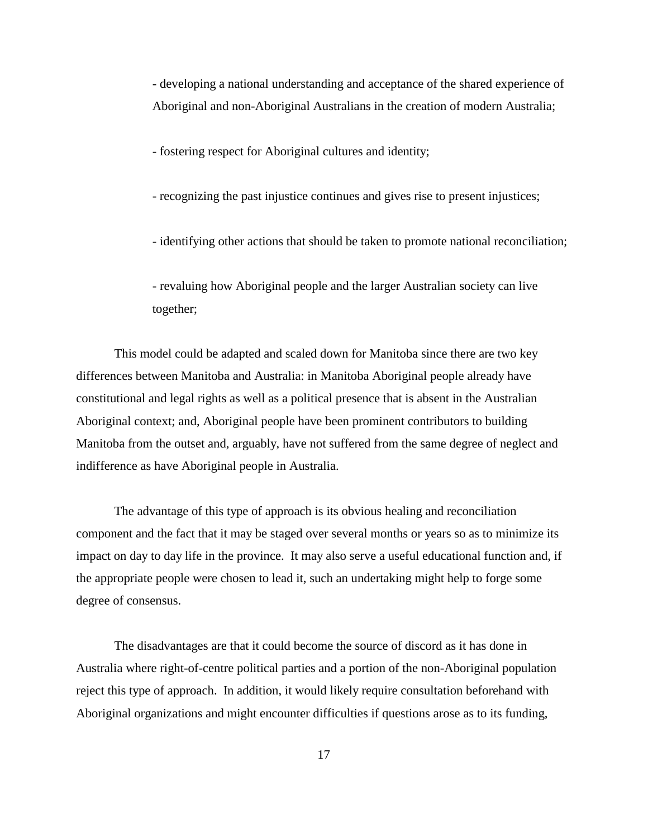- developing a national understanding and acceptance of the shared experience of Aboriginal and non-Aboriginal Australians in the creation of modern Australia;

- fostering respect for Aboriginal cultures and identity;

- recognizing the past injustice continues and gives rise to present injustices;

- identifying other actions that should be taken to promote national reconciliation;

- revaluing how Aboriginal people and the larger Australian society can live together;

This model could be adapted and scaled down for Manitoba since there are two key differences between Manitoba and Australia: in Manitoba Aboriginal people already have constitutional and legal rights as well as a political presence that is absent in the Australian Aboriginal context; and, Aboriginal people have been prominent contributors to building Manitoba from the outset and, arguably, have not suffered from the same degree of neglect and indifference as have Aboriginal people in Australia.

The advantage of this type of approach is its obvious healing and reconciliation component and the fact that it may be staged over several months or years so as to minimize its impact on day to day life in the province. It may also serve a useful educational function and, if the appropriate people were chosen to lead it, such an undertaking might help to forge some degree of consensus.

The disadvantages are that it could become the source of discord as it has done in Australia where right-of-centre political parties and a portion of the non-Aboriginal population reject this type of approach. In addition, it would likely require consultation beforehand with Aboriginal organizations and might encounter difficulties if questions arose as to its funding,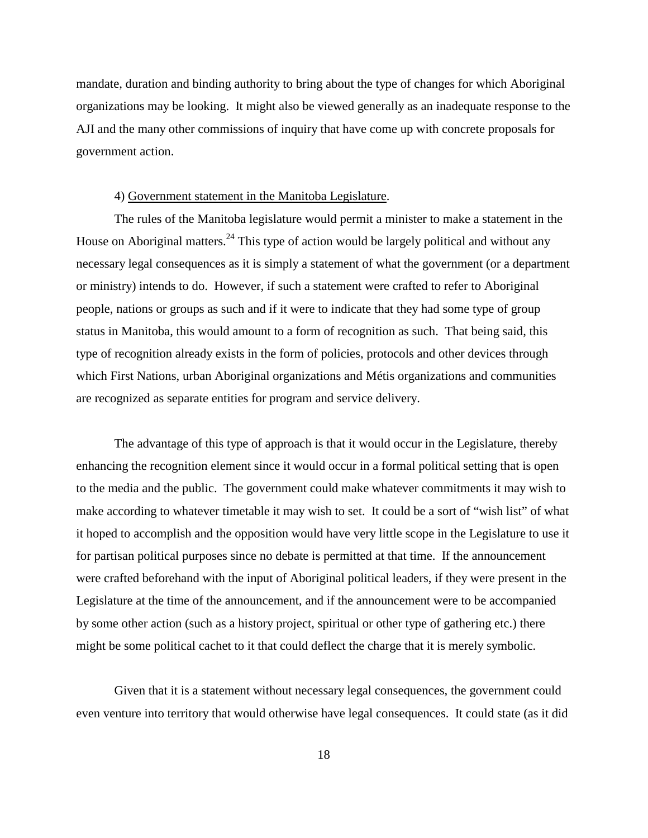mandate, duration and binding authority to bring about the type of changes for which Aboriginal organizations may be looking. It might also be viewed generally as an inadequate response to the AJI and the many other commissions of inquiry that have come up with concrete proposals for government action.

#### 4) Government statement in the Manitoba Legislature.

The rules of the Manitoba legislature would permit a minister to make a statement in the House on Aboriginal matters.<sup>24</sup> This type of action would be largely political and without any necessary legal consequences as it is simply a statement of what the government (or a department or ministry) intends to do. However, if such a statement were crafted to refer to Aboriginal people, nations or groups as such and if it were to indicate that they had some type of group status in Manitoba, this would amount to a form of recognition as such. That being said, this type of recognition already exists in the form of policies, protocols and other devices through which First Nations, urban Aboriginal organizations and Métis organizations and communities are recognized as separate entities for program and service delivery.

The advantage of this type of approach is that it would occur in the Legislature, thereby enhancing the recognition element since it would occur in a formal political setting that is open to the media and the public. The government could make whatever commitments it may wish to make according to whatever timetable it may wish to set. It could be a sort of "wish list" of what it hoped to accomplish and the opposition would have very little scope in the Legislature to use it for partisan political purposes since no debate is permitted at that time. If the announcement were crafted beforehand with the input of Aboriginal political leaders, if they were present in the Legislature at the time of the announcement, and if the announcement were to be accompanied by some other action (such as a history project, spiritual or other type of gathering etc.) there might be some political cachet to it that could deflect the charge that it is merely symbolic.

Given that it is a statement without necessary legal consequences, the government could even venture into territory that would otherwise have legal consequences. It could state (as it did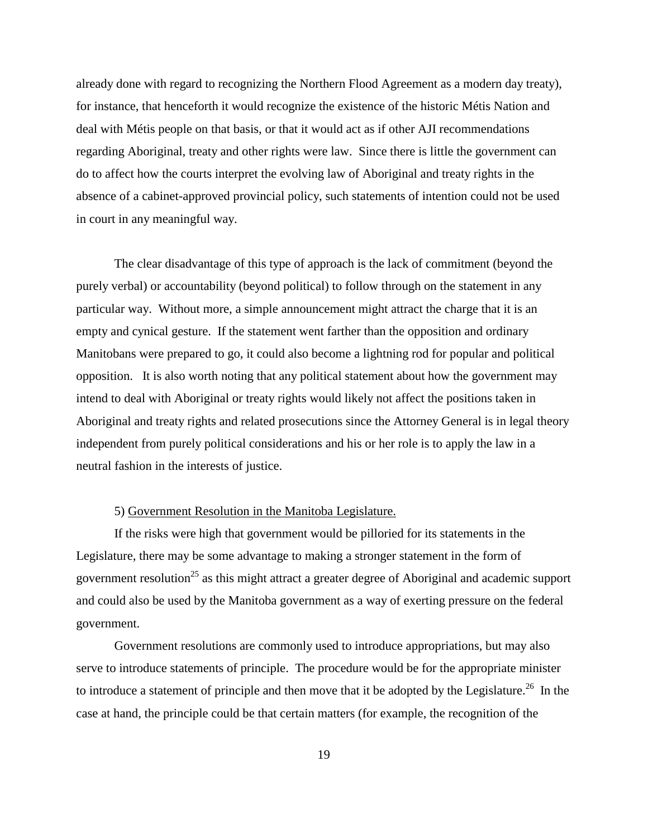already done with regard to recognizing the Northern Flood Agreement as a modern day treaty), for instance, that henceforth it would recognize the existence of the historic Métis Nation and deal with Métis people on that basis, or that it would act as if other AJI recommendations regarding Aboriginal, treaty and other rights were law. Since there is little the government can do to affect how the courts interpret the evolving law of Aboriginal and treaty rights in the absence of a cabinet-approved provincial policy, such statements of intention could not be used in court in any meaningful way.

The clear disadvantage of this type of approach is the lack of commitment (beyond the purely verbal) or accountability (beyond political) to follow through on the statement in any particular way. Without more, a simple announcement might attract the charge that it is an empty and cynical gesture. If the statement went farther than the opposition and ordinary Manitobans were prepared to go, it could also become a lightning rod for popular and political opposition. It is also worth noting that any political statement about how the government may intend to deal with Aboriginal or treaty rights would likely not affect the positions taken in Aboriginal and treaty rights and related prosecutions since the Attorney General is in legal theory independent from purely political considerations and his or her role is to apply the law in a neutral fashion in the interests of justice.

#### 5) Government Resolution in the Manitoba Legislature.

If the risks were high that government would be pilloried for its statements in the Legislature, there may be some advantage to making a stronger statement in the form of government resolution<sup>25</sup> as this might attract a greater degree of Aboriginal and academic support and could also be used by the Manitoba government as a way of exerting pressure on the federal government.

Government resolutions are commonly used to introduce appropriations, but may also serve to introduce statements of principle. The procedure would be for the appropriate minister to introduce a statement of principle and then move that it be adopted by the Legislature.<sup>26</sup> In the case at hand, the principle could be that certain matters (for example, the recognition of the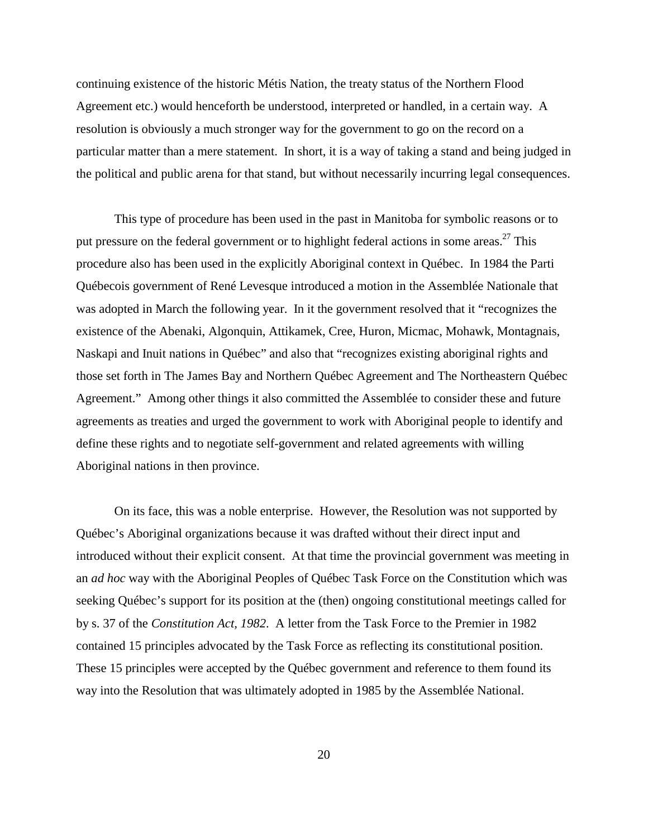continuing existence of the historic Métis Nation, the treaty status of the Northern Flood Agreement etc.) would henceforth be understood, interpreted or handled, in a certain way. A resolution is obviously a much stronger way for the government to go on the record on a particular matter than a mere statement. In short, it is a way of taking a stand and being judged in the political and public arena for that stand, but without necessarily incurring legal consequences.

This type of procedure has been used in the past in Manitoba for symbolic reasons or to put pressure on the federal government or to highlight federal actions in some areas.<sup>27</sup> This procedure also has been used in the explicitly Aboriginal context in Québec. In 1984 the Parti Québecois government of René Levesque introduced a motion in the Assemblée Nationale that was adopted in March the following year. In it the government resolved that it "recognizes the existence of the Abenaki, Algonquin, Attikamek, Cree, Huron, Micmac, Mohawk, Montagnais, Naskapi and Inuit nations in Québec" and also that "recognizes existing aboriginal rights and those set forth in The James Bay and Northern Québec Agreement and The Northeastern Québec Agreement." Among other things it also committed the Assemblée to consider these and future agreements as treaties and urged the government to work with Aboriginal people to identify and define these rights and to negotiate self-government and related agreements with willing Aboriginal nations in then province.

On its face, this was a noble enterprise. However, the Resolution was not supported by Québec's Aboriginal organizations because it was drafted without their direct input and introduced without their explicit consent. At that time the provincial government was meeting in an *ad hoc* way with the Aboriginal Peoples of Québec Task Force on the Constitution which was seeking Québec's support for its position at the (then) ongoing constitutional meetings called for by s. 37 of the *Constitution Act, 1982*. A letter from the Task Force to the Premier in 1982 contained 15 principles advocated by the Task Force as reflecting its constitutional position. These 15 principles were accepted by the Québec government and reference to them found its way into the Resolution that was ultimately adopted in 1985 by the Assemblée National.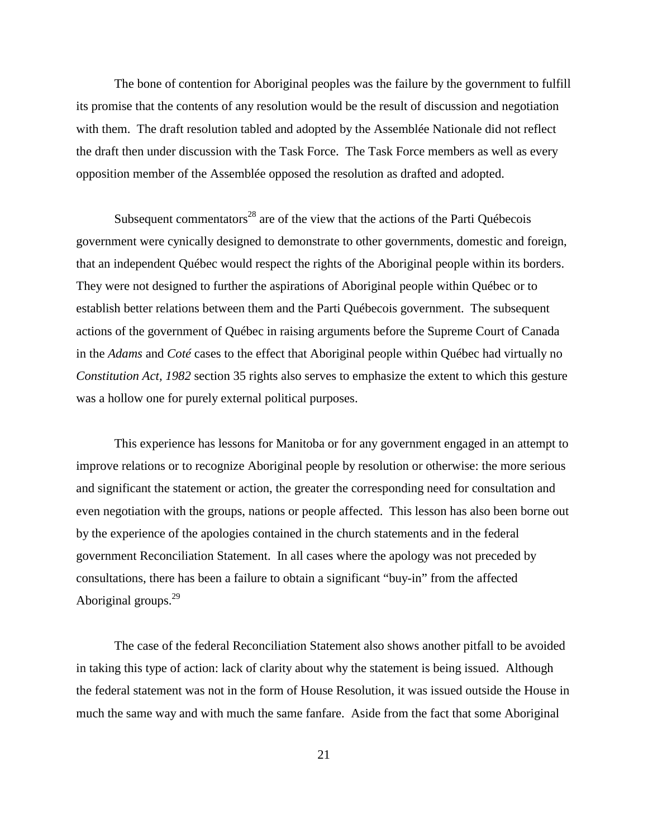The bone of contention for Aboriginal peoples was the failure by the government to fulfill its promise that the contents of any resolution would be the result of discussion and negotiation with them. The draft resolution tabled and adopted by the Assemblée Nationale did not reflect the draft then under discussion with the Task Force. The Task Force members as well as every opposition member of the Assemblée opposed the resolution as drafted and adopted.

Subsequent commentators<sup>28</sup> are of the view that the actions of the Parti Québecois government were cynically designed to demonstrate to other governments, domestic and foreign, that an independent Québec would respect the rights of the Aboriginal people within its borders. They were not designed to further the aspirations of Aboriginal people within Québec or to establish better relations between them and the Parti Québecois government. The subsequent actions of the government of Québec in raising arguments before the Supreme Court of Canada in the *Adams* and *Coté* cases to the effect that Aboriginal people within Québec had virtually no *Constitution Act, 1982* section 35 rights also serves to emphasize the extent to which this gesture was a hollow one for purely external political purposes.

This experience has lessons for Manitoba or for any government engaged in an attempt to improve relations or to recognize Aboriginal people by resolution or otherwise: the more serious and significant the statement or action, the greater the corresponding need for consultation and even negotiation with the groups, nations or people affected. This lesson has also been borne out by the experience of the apologies contained in the church statements and in the federal government Reconciliation Statement. In all cases where the apology was not preceded by consultations, there has been a failure to obtain a significant "buy-in" from the affected Aboriginal groups. $^{29}$ 

The case of the federal Reconciliation Statement also shows another pitfall to be avoided in taking this type of action: lack of clarity about why the statement is being issued. Although the federal statement was not in the form of House Resolution, it was issued outside the House in much the same way and with much the same fanfare. Aside from the fact that some Aboriginal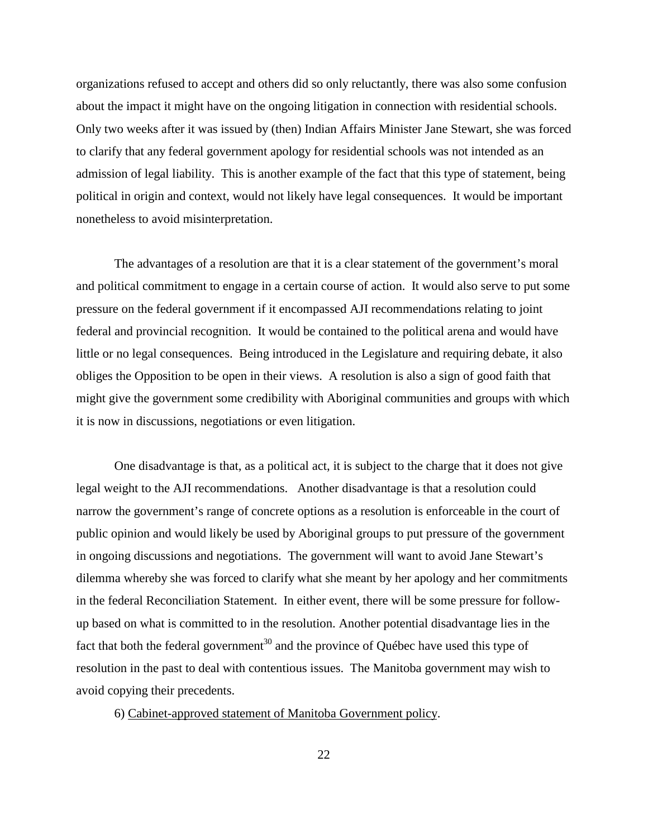organizations refused to accept and others did so only reluctantly, there was also some confusion about the impact it might have on the ongoing litigation in connection with residential schools. Only two weeks after it was issued by (then) Indian Affairs Minister Jane Stewart, she was forced to clarify that any federal government apology for residential schools was not intended as an admission of legal liability. This is another example of the fact that this type of statement, being political in origin and context, would not likely have legal consequences. It would be important nonetheless to avoid misinterpretation.

The advantages of a resolution are that it is a clear statement of the government's moral and political commitment to engage in a certain course of action. It would also serve to put some pressure on the federal government if it encompassed AJI recommendations relating to joint federal and provincial recognition. It would be contained to the political arena and would have little or no legal consequences. Being introduced in the Legislature and requiring debate, it also obliges the Opposition to be open in their views. A resolution is also a sign of good faith that might give the government some credibility with Aboriginal communities and groups with which it is now in discussions, negotiations or even litigation.

One disadvantage is that, as a political act, it is subject to the charge that it does not give legal weight to the AJI recommendations. Another disadvantage is that a resolution could narrow the government's range of concrete options as a resolution is enforceable in the court of public opinion and would likely be used by Aboriginal groups to put pressure of the government in ongoing discussions and negotiations. The government will want to avoid Jane Stewart's dilemma whereby she was forced to clarify what she meant by her apology and her commitments in the federal Reconciliation Statement. In either event, there will be some pressure for followup based on what is committed to in the resolution. Another potential disadvantage lies in the fact that both the federal government<sup>30</sup> and the province of Québec have used this type of resolution in the past to deal with contentious issues. The Manitoba government may wish to avoid copying their precedents.

6) Cabinet-approved statement of Manitoba Government policy.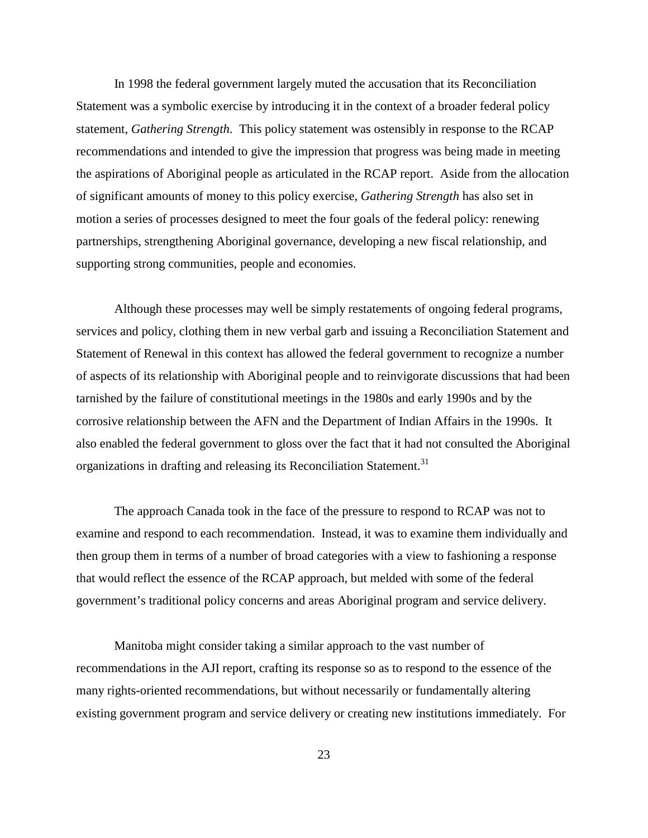In 1998 the federal government largely muted the accusation that its Reconciliation Statement was a symbolic exercise by introducing it in the context of a broader federal policy statement, *Gathering Strength*. This policy statement was ostensibly in response to the RCAP recommendations and intended to give the impression that progress was being made in meeting the aspirations of Aboriginal people as articulated in the RCAP report. Aside from the allocation of significant amounts of money to this policy exercise, *Gathering Strength* has also set in motion a series of processes designed to meet the four goals of the federal policy: renewing partnerships, strengthening Aboriginal governance, developing a new fiscal relationship, and supporting strong communities, people and economies.

Although these processes may well be simply restatements of ongoing federal programs, services and policy, clothing them in new verbal garb and issuing a Reconciliation Statement and Statement of Renewal in this context has allowed the federal government to recognize a number of aspects of its relationship with Aboriginal people and to reinvigorate discussions that had been tarnished by the failure of constitutional meetings in the 1980s and early 1990s and by the corrosive relationship between the AFN and the Department of Indian Affairs in the 1990s. It also enabled the federal government to gloss over the fact that it had not consulted the Aboriginal organizations in drafting and releasing its Reconciliation Statement.<sup>31</sup>

The approach Canada took in the face of the pressure to respond to RCAP was not to examine and respond to each recommendation. Instead, it was to examine them individually and then group them in terms of a number of broad categories with a view to fashioning a response that would reflect the essence of the RCAP approach, but melded with some of the federal government's traditional policy concerns and areas Aboriginal program and service delivery.

Manitoba might consider taking a similar approach to the vast number of recommendations in the AJI report, crafting its response so as to respond to the essence of the many rights-oriented recommendations, but without necessarily or fundamentally altering existing government program and service delivery or creating new institutions immediately. For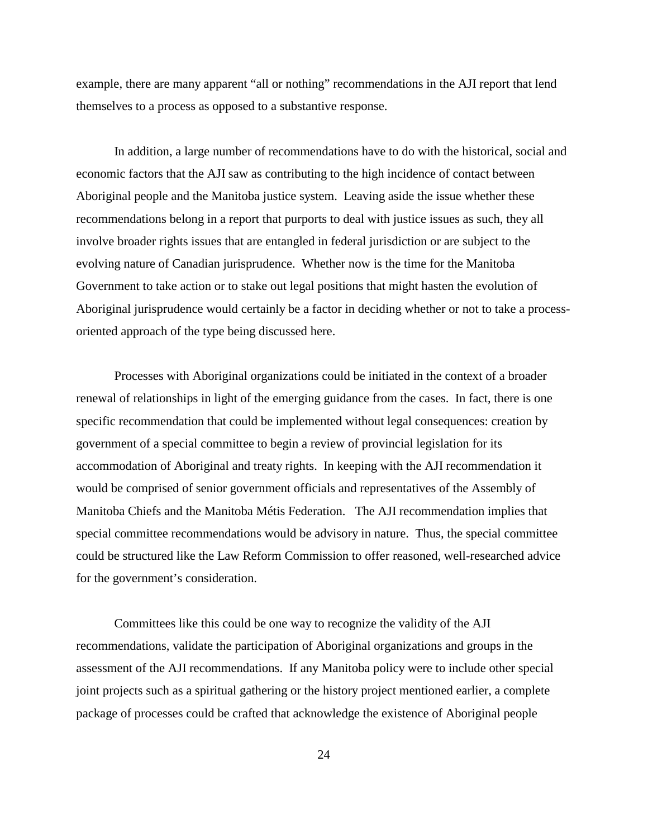example, there are many apparent "all or nothing" recommendations in the AJI report that lend themselves to a process as opposed to a substantive response.

In addition, a large number of recommendations have to do with the historical, social and economic factors that the AJI saw as contributing to the high incidence of contact between Aboriginal people and the Manitoba justice system. Leaving aside the issue whether these recommendations belong in a report that purports to deal with justice issues as such, they all involve broader rights issues that are entangled in federal jurisdiction or are subject to the evolving nature of Canadian jurisprudence. Whether now is the time for the Manitoba Government to take action or to stake out legal positions that might hasten the evolution of Aboriginal jurisprudence would certainly be a factor in deciding whether or not to take a processoriented approach of the type being discussed here.

Processes with Aboriginal organizations could be initiated in the context of a broader renewal of relationships in light of the emerging guidance from the cases. In fact, there is one specific recommendation that could be implemented without legal consequences: creation by government of a special committee to begin a review of provincial legislation for its accommodation of Aboriginal and treaty rights. In keeping with the AJI recommendation it would be comprised of senior government officials and representatives of the Assembly of Manitoba Chiefs and the Manitoba Métis Federation. The AJI recommendation implies that special committee recommendations would be advisory in nature. Thus, the special committee could be structured like the Law Reform Commission to offer reasoned, well-researched advice for the government's consideration.

Committees like this could be one way to recognize the validity of the AJI recommendations, validate the participation of Aboriginal organizations and groups in the assessment of the AJI recommendations. If any Manitoba policy were to include other special joint projects such as a spiritual gathering or the history project mentioned earlier, a complete package of processes could be crafted that acknowledge the existence of Aboriginal people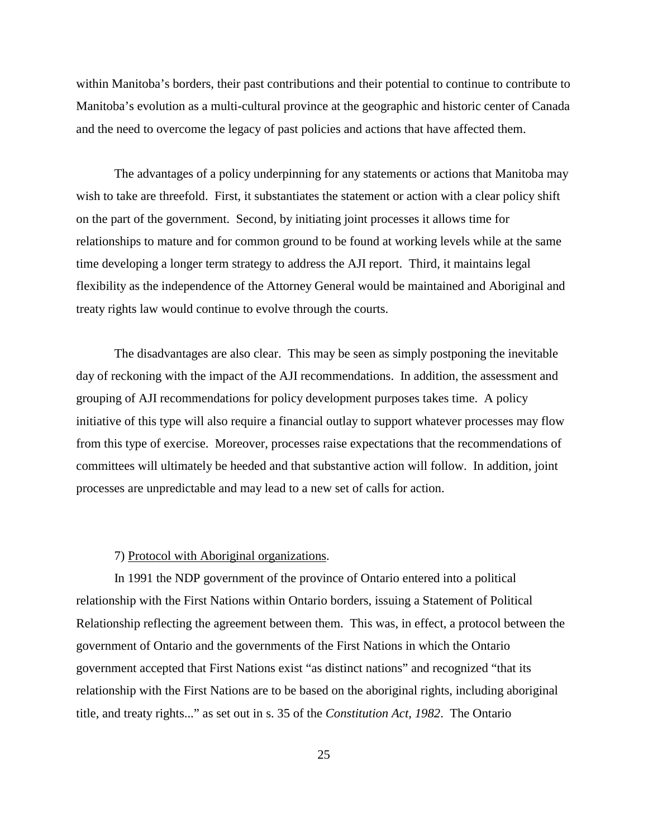within Manitoba's borders, their past contributions and their potential to continue to contribute to Manitoba's evolution as a multi-cultural province at the geographic and historic center of Canada and the need to overcome the legacy of past policies and actions that have affected them.

The advantages of a policy underpinning for any statements or actions that Manitoba may wish to take are threefold. First, it substantiates the statement or action with a clear policy shift on the part of the government. Second, by initiating joint processes it allows time for relationships to mature and for common ground to be found at working levels while at the same time developing a longer term strategy to address the AJI report. Third, it maintains legal flexibility as the independence of the Attorney General would be maintained and Aboriginal and treaty rights law would continue to evolve through the courts.

The disadvantages are also clear. This may be seen as simply postponing the inevitable day of reckoning with the impact of the AJI recommendations. In addition, the assessment and grouping of AJI recommendations for policy development purposes takes time. A policy initiative of this type will also require a financial outlay to support whatever processes may flow from this type of exercise. Moreover, processes raise expectations that the recommendations of committees will ultimately be heeded and that substantive action will follow. In addition, joint processes are unpredictable and may lead to a new set of calls for action.

#### 7) Protocol with Aboriginal organizations.

In 1991 the NDP government of the province of Ontario entered into a political relationship with the First Nations within Ontario borders, issuing a Statement of Political Relationship reflecting the agreement between them. This was, in effect, a protocol between the government of Ontario and the governments of the First Nations in which the Ontario government accepted that First Nations exist "as distinct nations" and recognized "that its relationship with the First Nations are to be based on the aboriginal rights, including aboriginal title, and treaty rights..." as set out in s. 35 of the *Constitution Act, 1982*. The Ontario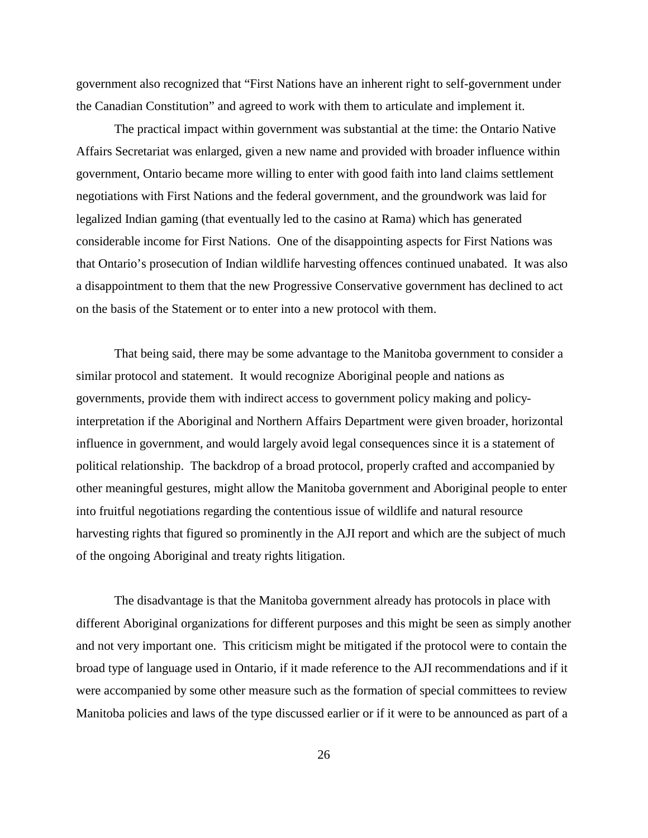government also recognized that "First Nations have an inherent right to self-government under the Canadian Constitution" and agreed to work with them to articulate and implement it.

The practical impact within government was substantial at the time: the Ontario Native Affairs Secretariat was enlarged, given a new name and provided with broader influence within government, Ontario became more willing to enter with good faith into land claims settlement negotiations with First Nations and the federal government, and the groundwork was laid for legalized Indian gaming (that eventually led to the casino at Rama) which has generated considerable income for First Nations. One of the disappointing aspects for First Nations was that Ontario's prosecution of Indian wildlife harvesting offences continued unabated. It was also a disappointment to them that the new Progressive Conservative government has declined to act on the basis of the Statement or to enter into a new protocol with them.

That being said, there may be some advantage to the Manitoba government to consider a similar protocol and statement. It would recognize Aboriginal people and nations as governments, provide them with indirect access to government policy making and policyinterpretation if the Aboriginal and Northern Affairs Department were given broader, horizontal influence in government, and would largely avoid legal consequences since it is a statement of political relationship. The backdrop of a broad protocol, properly crafted and accompanied by other meaningful gestures, might allow the Manitoba government and Aboriginal people to enter into fruitful negotiations regarding the contentious issue of wildlife and natural resource harvesting rights that figured so prominently in the AJI report and which are the subject of much of the ongoing Aboriginal and treaty rights litigation.

The disadvantage is that the Manitoba government already has protocols in place with different Aboriginal organizations for different purposes and this might be seen as simply another and not very important one. This criticism might be mitigated if the protocol were to contain the broad type of language used in Ontario, if it made reference to the AJI recommendations and if it were accompanied by some other measure such as the formation of special committees to review Manitoba policies and laws of the type discussed earlier or if it were to be announced as part of a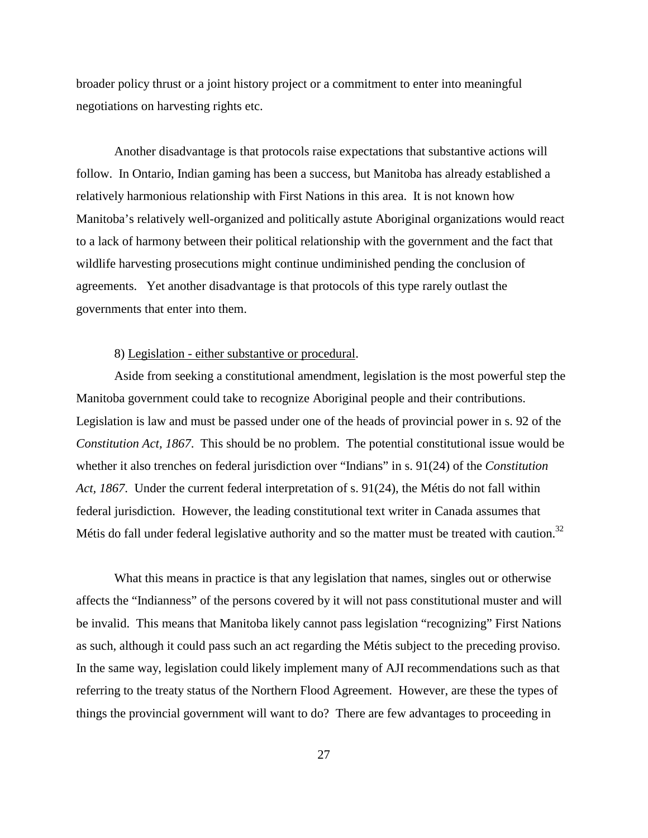broader policy thrust or a joint history project or a commitment to enter into meaningful negotiations on harvesting rights etc.

Another disadvantage is that protocols raise expectations that substantive actions will follow. In Ontario, Indian gaming has been a success, but Manitoba has already established a relatively harmonious relationship with First Nations in this area. It is not known how Manitoba's relatively well-organized and politically astute Aboriginal organizations would react to a lack of harmony between their political relationship with the government and the fact that wildlife harvesting prosecutions might continue undiminished pending the conclusion of agreements. Yet another disadvantage is that protocols of this type rarely outlast the governments that enter into them.

#### 8) Legislation - either substantive or procedural.

Aside from seeking a constitutional amendment, legislation is the most powerful step the Manitoba government could take to recognize Aboriginal people and their contributions. Legislation is law and must be passed under one of the heads of provincial power in s. 92 of the *Constitution Act, 1867*. This should be no problem. The potential constitutional issue would be whether it also trenches on federal jurisdiction over "Indians" in s. 91(24) of the *Constitution Act, 1867*. Under the current federal interpretation of s. 91(24), the Métis do not fall within federal jurisdiction. However, the leading constitutional text writer in Canada assumes that Métis do fall under federal legislative authority and so the matter must be treated with caution.<sup>32</sup>

What this means in practice is that any legislation that names, singles out or otherwise affects the "Indianness" of the persons covered by it will not pass constitutional muster and will be invalid. This means that Manitoba likely cannot pass legislation "recognizing" First Nations as such, although it could pass such an act regarding the Métis subject to the preceding proviso. In the same way, legislation could likely implement many of AJI recommendations such as that referring to the treaty status of the Northern Flood Agreement. However, are these the types of things the provincial government will want to do? There are few advantages to proceeding in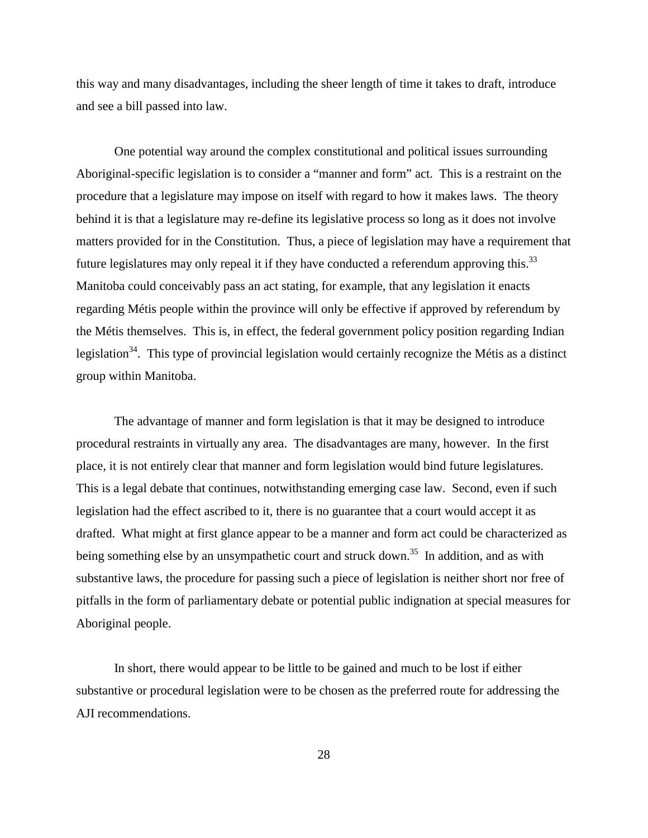this way and many disadvantages, including the sheer length of time it takes to draft, introduce and see a bill passed into law.

One potential way around the complex constitutional and political issues surrounding Aboriginal-specific legislation is to consider a "manner and form" act. This is a restraint on the procedure that a legislature may impose on itself with regard to how it makes laws. The theory behind it is that a legislature may re-define its legislative process so long as it does not involve matters provided for in the Constitution. Thus, a piece of legislation may have a requirement that future legislatures may only repeal it if they have conducted a referendum approving this.<sup>33</sup> Manitoba could conceivably pass an act stating, for example, that any legislation it enacts regarding Métis people within the province will only be effective if approved by referendum by the Métis themselves. This is, in effect, the federal government policy position regarding Indian legislation<sup>34</sup>. This type of provincial legislation would certainly recognize the Métis as a distinct group within Manitoba.

The advantage of manner and form legislation is that it may be designed to introduce procedural restraints in virtually any area. The disadvantages are many, however. In the first place, it is not entirely clear that manner and form legislation would bind future legislatures. This is a legal debate that continues, notwithstanding emerging case law. Second, even if such legislation had the effect ascribed to it, there is no guarantee that a court would accept it as drafted. What might at first glance appear to be a manner and form act could be characterized as being something else by an unsympathetic court and struck down.<sup>35</sup> In addition, and as with substantive laws, the procedure for passing such a piece of legislation is neither short nor free of pitfalls in the form of parliamentary debate or potential public indignation at special measures for Aboriginal people.

In short, there would appear to be little to be gained and much to be lost if either substantive or procedural legislation were to be chosen as the preferred route for addressing the AJI recommendations.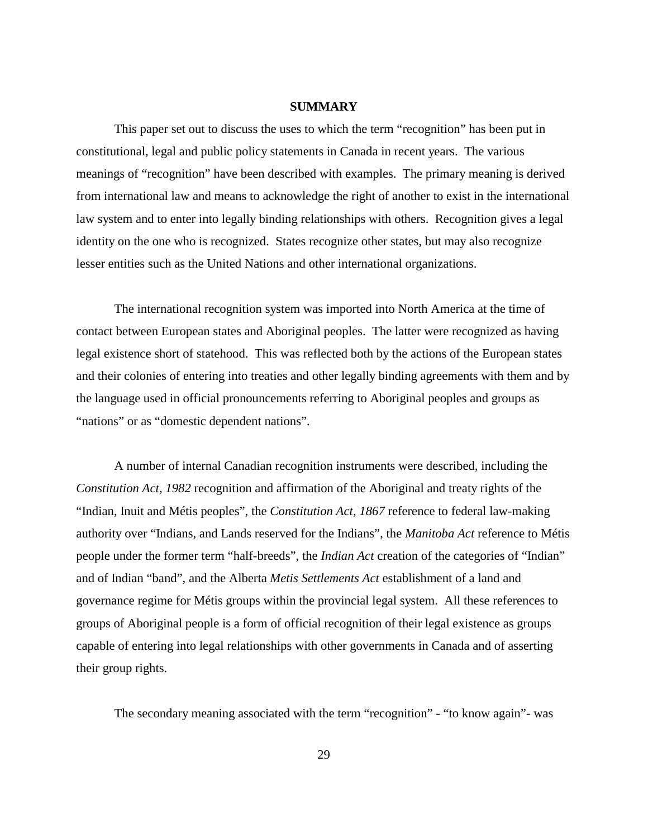### **SUMMARY**

This paper set out to discuss the uses to which the term "recognition" has been put in constitutional, legal and public policy statements in Canada in recent years. The various meanings of "recognition" have been described with examples. The primary meaning is derived from international law and means to acknowledge the right of another to exist in the international law system and to enter into legally binding relationships with others. Recognition gives a legal identity on the one who is recognized. States recognize other states, but may also recognize lesser entities such as the United Nations and other international organizations.

The international recognition system was imported into North America at the time of contact between European states and Aboriginal peoples. The latter were recognized as having legal existence short of statehood. This was reflected both by the actions of the European states and their colonies of entering into treaties and other legally binding agreements with them and by the language used in official pronouncements referring to Aboriginal peoples and groups as "nations" or as "domestic dependent nations".

A number of internal Canadian recognition instruments were described, including the *Constitution Act, 1982* recognition and affirmation of the Aboriginal and treaty rights of the "Indian, Inuit and Métis peoples", the *Constitution Act, 1867* reference to federal law-making authority over "Indians, and Lands reserved for the Indians", the *Manitoba Act* reference to Métis people under the former term "half-breeds", the *Indian Act* creation of the categories of "Indian" and of Indian "band", and the Alberta *Metis Settlements Act* establishment of a land and governance regime for Métis groups within the provincial legal system. All these references to groups of Aboriginal people is a form of official recognition of their legal existence as groups capable of entering into legal relationships with other governments in Canada and of asserting their group rights.

The secondary meaning associated with the term "recognition" - "to know again"- was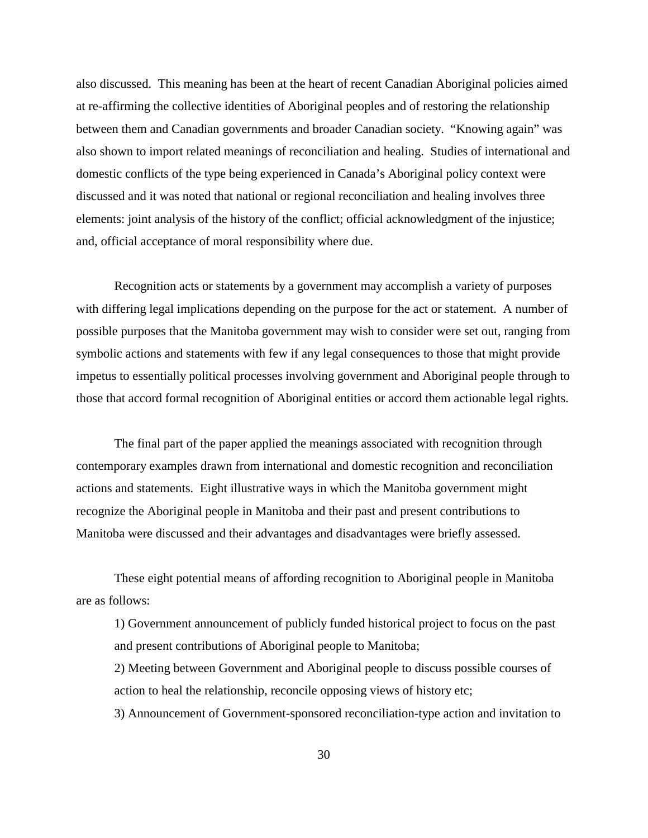also discussed. This meaning has been at the heart of recent Canadian Aboriginal policies aimed at re-affirming the collective identities of Aboriginal peoples and of restoring the relationship between them and Canadian governments and broader Canadian society. "Knowing again" was also shown to import related meanings of reconciliation and healing. Studies of international and domestic conflicts of the type being experienced in Canada's Aboriginal policy context were discussed and it was noted that national or regional reconciliation and healing involves three elements: joint analysis of the history of the conflict; official acknowledgment of the injustice; and, official acceptance of moral responsibility where due.

Recognition acts or statements by a government may accomplish a variety of purposes with differing legal implications depending on the purpose for the act or statement. A number of possible purposes that the Manitoba government may wish to consider were set out, ranging from symbolic actions and statements with few if any legal consequences to those that might provide impetus to essentially political processes involving government and Aboriginal people through to those that accord formal recognition of Aboriginal entities or accord them actionable legal rights.

The final part of the paper applied the meanings associated with recognition through contemporary examples drawn from international and domestic recognition and reconciliation actions and statements. Eight illustrative ways in which the Manitoba government might recognize the Aboriginal people in Manitoba and their past and present contributions to Manitoba were discussed and their advantages and disadvantages were briefly assessed.

These eight potential means of affording recognition to Aboriginal people in Manitoba are as follows:

1) Government announcement of publicly funded historical project to focus on the past and present contributions of Aboriginal people to Manitoba;

2) Meeting between Government and Aboriginal people to discuss possible courses of action to heal the relationship, reconcile opposing views of history etc;

3) Announcement of Government-sponsored reconciliation-type action and invitation to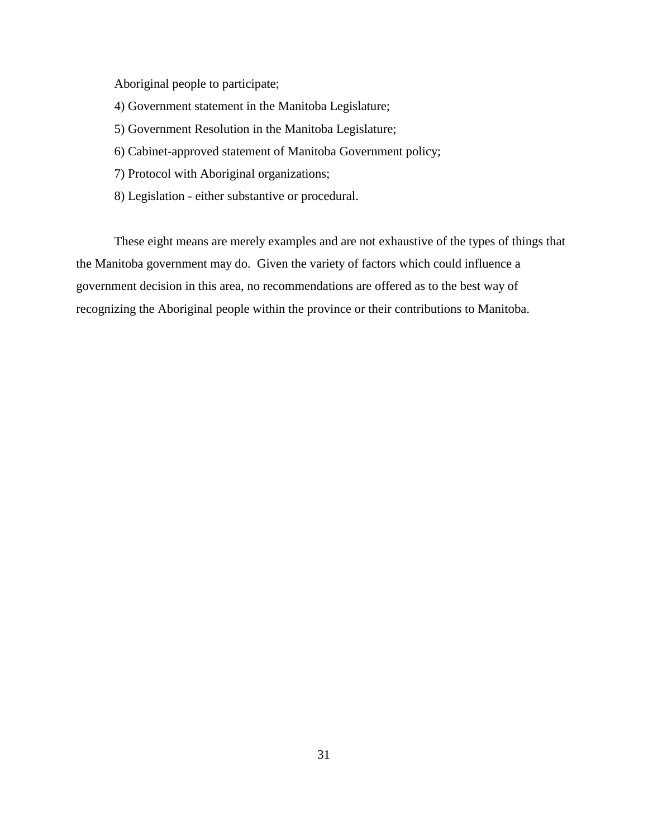Aboriginal people to participate;

- 4) Government statement in the Manitoba Legislature;
- 5) Government Resolution in the Manitoba Legislature;
- 6) Cabinet-approved statement of Manitoba Government policy;
- 7) Protocol with Aboriginal organizations;
- 8) Legislation either substantive or procedural.

These eight means are merely examples and are not exhaustive of the types of things that the Manitoba government may do. Given the variety of factors which could influence a government decision in this area, no recommendations are offered as to the best way of recognizing the Aboriginal people within the province or their contributions to Manitoba.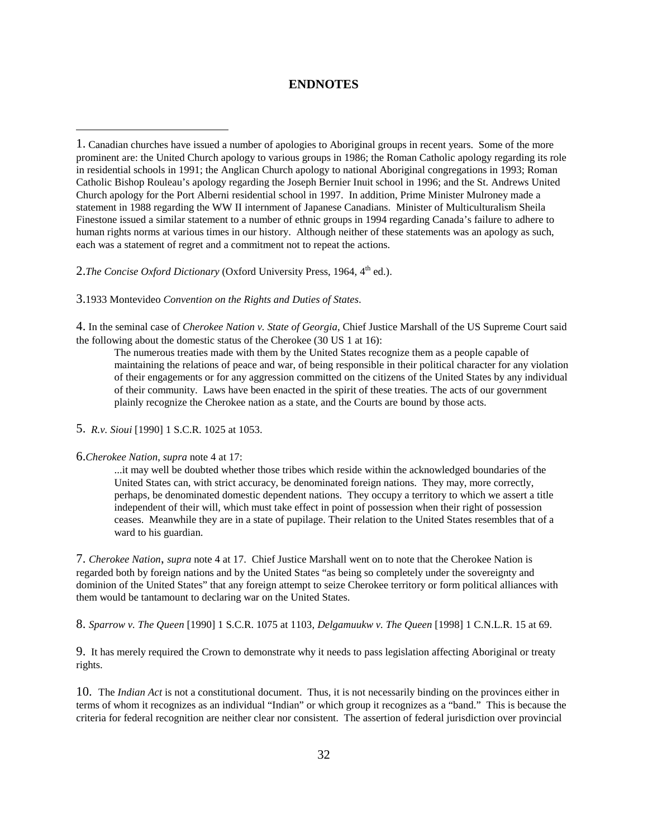### **ENDNOTES**

2.*The Concise Oxford Dictionary* (Oxford University Press, 1964, 4<sup>th</sup> ed.).

3.1933 Montevideo *Convention on the Rights and Duties of States*.

4. In the seminal case of *Cherokee Nation v. State of Georgia*, Chief Justice Marshall of the US Supreme Court said the following about the domestic status of the Cherokee (30 US 1 at 16):

The numerous treaties made with them by the United States recognize them as a people capable of maintaining the relations of peace and war, of being responsible in their political character for any violation of their engagements or for any aggression committed on the citizens of the United States by any individual of their community. Laws have been enacted in the spirit of these treaties. The acts of our government plainly recognize the Cherokee nation as a state, and the Courts are bound by those acts.

5. *R.v. Sioui* [1990] 1 S.C.R. 1025 at 1053.

#### 6.*Cherokee Nation*, *supra* note 4 at 17:

 $\overline{a}$ 

...it may well be doubted whether those tribes which reside within the acknowledged boundaries of the United States can, with strict accuracy, be denominated foreign nations. They may, more correctly, perhaps, be denominated domestic dependent nations. They occupy a territory to which we assert a title independent of their will, which must take effect in point of possession when their right of possession ceases. Meanwhile they are in a state of pupilage. Their relation to the United States resembles that of a ward to his guardian.

7. *Cherokee Nation*, *supra* note 4 at 17. Chief Justice Marshall went on to note that the Cherokee Nation is regarded both by foreign nations and by the United States "as being so completely under the sovereignty and dominion of the United States" that any foreign attempt to seize Cherokee territory or form political alliances with them would be tantamount to declaring war on the United States.

8. *Sparrow v. The Queen* [1990] 1 S.C.R. 1075 at 1103, *Delgamuukw v. The Queen* [1998] 1 C.N.L.R. 15 at 69.

9. It has merely required the Crown to demonstrate why it needs to pass legislation affecting Aboriginal or treaty rights.

10. The *Indian Act* is not a constitutional document. Thus, it is not necessarily binding on the provinces either in terms of whom it recognizes as an individual "Indian" or which group it recognizes as a "band." This is because the criteria for federal recognition are neither clear nor consistent. The assertion of federal jurisdiction over provincial

<sup>1.</sup> Canadian churches have issued a number of apologies to Aboriginal groups in recent years. Some of the more prominent are: the United Church apology to various groups in 1986; the Roman Catholic apology regarding its role in residential schools in 1991; the Anglican Church apology to national Aboriginal congregations in 1993; Roman Catholic Bishop Rouleau's apology regarding the Joseph Bernier Inuit school in 1996; and the St. Andrews United Church apology for the Port Alberni residential school in 1997. In addition, Prime Minister Mulroney made a statement in 1988 regarding the WW II internment of Japanese Canadians. Minister of Multiculturalism Sheila Finestone issued a similar statement to a number of ethnic groups in 1994 regarding Canada's failure to adhere to human rights norms at various times in our history. Although neither of these statements was an apology as such, each was a statement of regret and a commitment not to repeat the actions.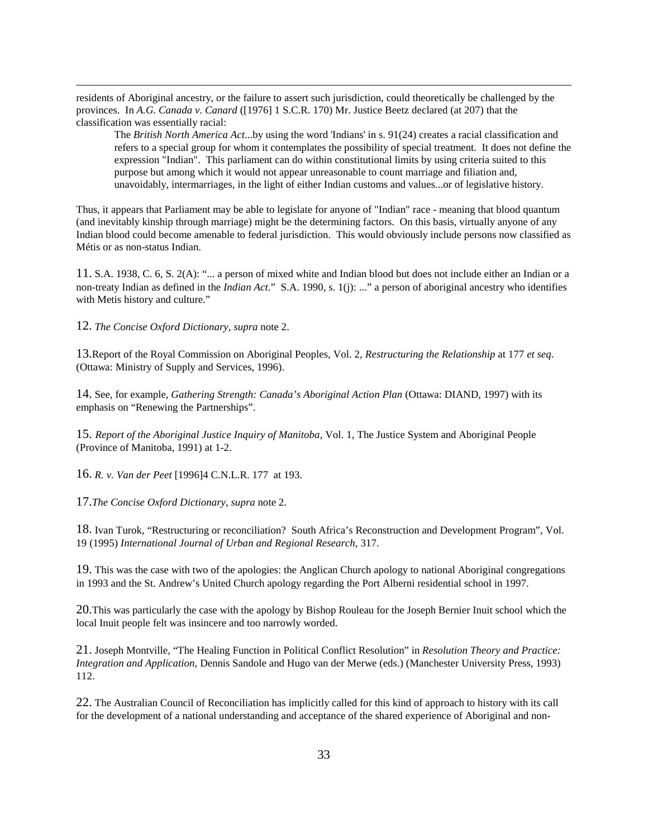residents of Aboriginal ancestry, or the failure to assert such jurisdiction, could theoretically be challenged by the provinces. In *A.G. Canada v. Canard* ([1976] 1 S.C.R. 170) Mr. Justice Beetz declared (at 207) that the classification was essentially racial:

The *British North America Act*...by using the word 'Indians' in s. 91(24) creates a racial classification and refers to a special group for whom it contemplates the possibility of special treatment. It does not define the expression "Indian". This parliament can do within constitutional limits by using criteria suited to this purpose but among which it would not appear unreasonable to count marriage and filiation and, unavoidably, intermarriages, in the light of either Indian customs and values...or of legislative history.

Thus, it appears that Parliament may be able to legislate for anyone of "Indian" race - meaning that blood quantum (and inevitably kinship through marriage) might be the determining factors. On this basis, virtually anyone of any Indian blood could become amenable to federal jurisdiction. This would obviously include persons now classified as Métis or as non-status Indian.

11. S.A. 1938, C. 6, S. 2(A): "... a person of mixed white and Indian blood but does not include either an Indian or a non-treaty Indian as defined in the *Indian Act*." S.A. 1990, s. 1(j): ..." a person of aboriginal ancestry who identifies with Metis history and culture."

12. *The Concise Oxford Dictionary*, *supra* note 2.

 $\overline{a}$ 

13.Report of the Royal Commission on Aboriginal Peoples, Vol. 2, *Restructuring the Relationship* at 177 *et seq*. (Ottawa: Ministry of Supply and Services, 1996).

14. See, for example, *Gathering Strength: Canada's Aboriginal Action Plan* (Ottawa: DIAND, 1997) with its emphasis on "Renewing the Partnerships".

15. *Report of the Aboriginal Justice Inquiry of Manitoba*, Vol. 1, The Justice System and Aboriginal People (Province of Manitoba, 1991) at 1-2.

16. *R. v. Van der Peet* [1996]4 C.N.L.R. 177 at 193.

17.*The Concise Oxford Dictionary*, *supra* note 2.

18. Ivan Turok, "Restructuring or reconciliation? South Africa's Reconstruction and Development Program", Vol. 19 (1995) *International Journal of Urban and Regional Research*, 317.

19. This was the case with two of the apologies: the Anglican Church apology to national Aboriginal congregations in 1993 and the St. Andrew's United Church apology regarding the Port Alberni residential school in 1997.

20.This was particularly the case with the apology by Bishop Rouleau for the Joseph Bernier Inuit school which the local Inuit people felt was insincere and too narrowly worded.

21. Joseph Montville, "The Healing Function in Political Conflict Resolution" in *Resolution Theory and Practice: Integration and Application*, Dennis Sandole and Hugo van der Merwe (eds.) (Manchester University Press, 1993) 112.

22. The Australian Council of Reconciliation has implicitly called for this kind of approach to history with its call for the development of a national understanding and acceptance of the shared experience of Aboriginal and non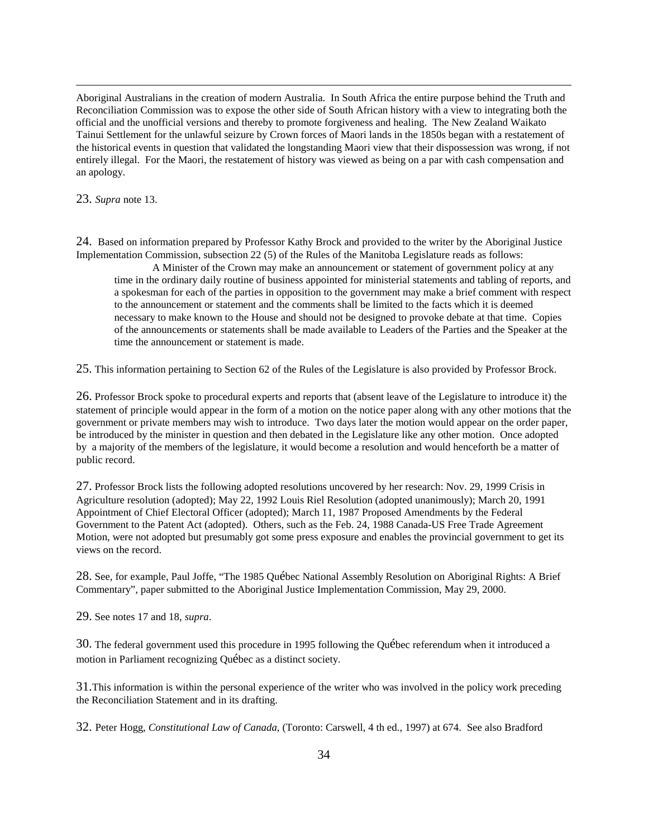Aboriginal Australians in the creation of modern Australia. In South Africa the entire purpose behind the Truth and Reconciliation Commission was to expose the other side of South African history with a view to integrating both the official and the unofficial versions and thereby to promote forgiveness and healing. The New Zealand Waikato Tainui Settlement for the unlawful seizure by Crown forces of Maori lands in the 1850s began with a restatement of the historical events in question that validated the longstanding Maori view that their dispossession was wrong, if not entirely illegal. For the Maori, the restatement of history was viewed as being on a par with cash compensation and an apology.

23. *Supra* note 13.

 $\overline{a}$ 

24. Based on information prepared by Professor Kathy Brock and provided to the writer by the Aboriginal Justice Implementation Commission, subsection 22 (5) of the Rules of the Manitoba Legislature reads as follows:

A Minister of the Crown may make an announcement or statement of government policy at any time in the ordinary daily routine of business appointed for ministerial statements and tabling of reports, and a spokesman for each of the parties in opposition to the government may make a brief comment with respect to the announcement or statement and the comments shall be limited to the facts which it is deemed necessary to make known to the House and should not be designed to provoke debate at that time. Copies of the announcements or statements shall be made available to Leaders of the Parties and the Speaker at the time the announcement or statement is made.

25. This information pertaining to Section 62 of the Rules of the Legislature is also provided by Professor Brock.

26. Professor Brock spoke to procedural experts and reports that (absent leave of the Legislature to introduce it) the statement of principle would appear in the form of a motion on the notice paper along with any other motions that the government or private members may wish to introduce. Two days later the motion would appear on the order paper, be introduced by the minister in question and then debated in the Legislature like any other motion. Once adopted by a majority of the members of the legislature, it would become a resolution and would henceforth be a matter of public record.

27. Professor Brock lists the following adopted resolutions uncovered by her research: Nov. 29, 1999 Crisis in Agriculture resolution (adopted); May 22, 1992 Louis Riel Resolution (adopted unanimously); March 20, 1991 Appointment of Chief Electoral Officer (adopted); March 11, 1987 Proposed Amendments by the Federal Government to the Patent Act (adopted). Others, such as the Feb. 24, 1988 Canada-US Free Trade Agreement Motion, were not adopted but presumably got some press exposure and enables the provincial government to get its views on the record.

28. See, for example, Paul Joffe, "The 1985 Québec National Assembly Resolution on Aboriginal Rights: A Brief Commentary", paper submitted to the Aboriginal Justice Implementation Commission, May 29, 2000.

29. See notes 17 and 18, *supra*.

30. The federal government used this procedure in 1995 following the Québec referendum when it introduced a motion in Parliament recognizing Québec as a distinct society.

31.This information is within the personal experience of the writer who was involved in the policy work preceding the Reconciliation Statement and in its drafting.

32. Peter Hogg, *Constitutional Law of Canada*, (Toronto: Carswell, 4 th ed., 1997) at 674. See also Bradford